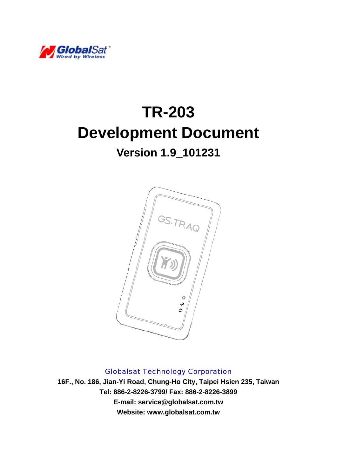

# **TR-203 Development Document**

## **Version 1.9\_101231**



Globalsat Technology Corporation

**16F., No. 186, Jian-Yi Road, Chung-Ho City, Taipei Hsien 235, Taiwan Tel: 886-2-8226-3799/ Fax: 886-2-8226-3899 E-mail: service@globalsat.com.tw Website: www.globalsat.com.tw**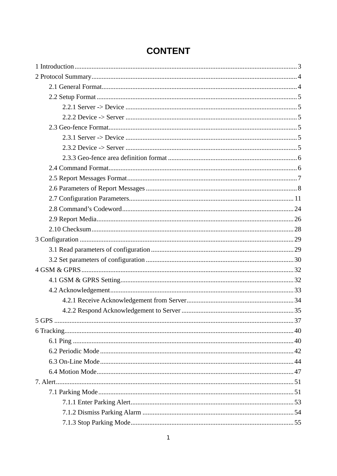### **CONTENT**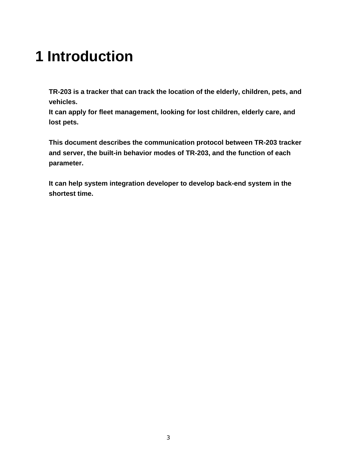# <span id="page-3-0"></span>**1 Introduction**

**TR-203 is a tracker that can track the location of the elderly, children, pets, and vehicles.** 

**It can apply for fleet management, looking for lost children, elderly care, and lost pets.** 

**This document describes the communication protocol between TR-203 tracker and server, the built-in behavior modes of TR-203, and the function of each parameter.** 

**It can help system integration developer to develop back-end system in the shortest time.**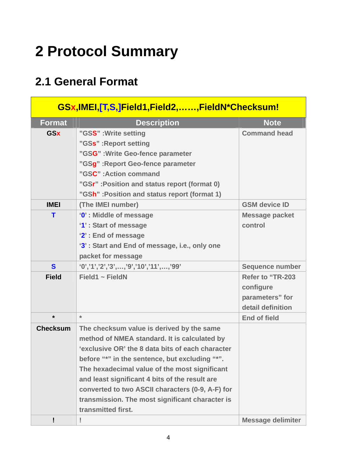# <span id="page-4-0"></span>**2 Protocol Summary**

## **2.1 General Format**

| GSx,IMEI,[T,S,]Field1,Field2,,FieldN*Checksum! |                                                  |                          |  |  |  |  |
|------------------------------------------------|--------------------------------------------------|--------------------------|--|--|--|--|
| <b>Format</b>                                  | <b>Description</b>                               | <b>Note</b>              |  |  |  |  |
| <b>GSx</b>                                     | "GSS": Write setting                             | <b>Command head</b>      |  |  |  |  |
|                                                | "GSs": Report setting                            |                          |  |  |  |  |
|                                                | "GSG" : Write Geo-fence parameter                |                          |  |  |  |  |
|                                                | "GSg" : Report Geo-fence parameter               |                          |  |  |  |  |
|                                                | "GSC": Action command                            |                          |  |  |  |  |
|                                                | "GSr": Position and status report (format 0)     |                          |  |  |  |  |
|                                                | "GSh" : Position and status report (format 1)    |                          |  |  |  |  |
| <b>IMEI</b>                                    | (The IMEI number)                                | <b>GSM device ID</b>     |  |  |  |  |
| т                                              | '0': Middle of message                           | <b>Message packet</b>    |  |  |  |  |
|                                                | '1': Start of message                            | control                  |  |  |  |  |
|                                                | '2': End of message                              |                          |  |  |  |  |
|                                                | '3': Start and End of message, i.e., only one    |                          |  |  |  |  |
|                                                | packet for message                               |                          |  |  |  |  |
| S                                              | $(0', '1', '2', '3', , '9', '10', '11', , '99')$ | <b>Sequence number</b>   |  |  |  |  |
| <b>Field</b>                                   | Field1 $\sim$ FieldN                             | Refer to "TR-203         |  |  |  |  |
|                                                |                                                  | configure                |  |  |  |  |
|                                                |                                                  | parameters" for          |  |  |  |  |
|                                                |                                                  | detail definition        |  |  |  |  |
| $\star$                                        | $\star$                                          | <b>End of field</b>      |  |  |  |  |
| <b>Checksum</b>                                | The checksum value is derived by the same        |                          |  |  |  |  |
|                                                | method of NMEA standard. It is calculated by     |                          |  |  |  |  |
|                                                | 'exclusive OR' the 8 data bits of each character |                          |  |  |  |  |
|                                                | before "*" in the sentence, but excluding "*".   |                          |  |  |  |  |
|                                                | The hexadecimal value of the most significant    |                          |  |  |  |  |
|                                                | and least significant 4 bits of the result are   |                          |  |  |  |  |
|                                                | converted to two ASCII characters (0-9, A-F) for |                          |  |  |  |  |
|                                                | transmission. The most significant character is  |                          |  |  |  |  |
|                                                | transmitted first.                               |                          |  |  |  |  |
|                                                | Ţ                                                | <b>Message delimiter</b> |  |  |  |  |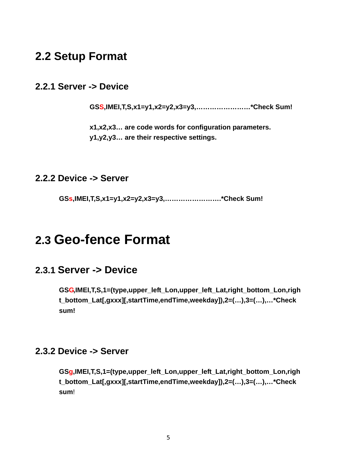### <span id="page-5-0"></span>**2.2 Setup Format**

#### **2.2.1 Server -> Device**

**GSS,IMEI,T,S,x1=y1,x2=y2,x3=y3,……………………\*Check Sum!** 

**x1,x2,x3… are code words for configuration parameters. y1,y2,y3… are their respective settings.**

#### **2.2.2 Device -> Server**

**GSs,IMEI,T,S,x1=y1,x2=y2,x3=y3,…………………….\*Check Sum!**

## **2.3 Geo-fence Format**

#### **2.3.1 Server -> Device**

**GSG,IMEI,T,S,1=(type,upper\_left\_Lon,upper\_left\_Lat,right\_bottom\_Lon,righ t\_bottom\_Lat[,gxxx][,startTime,endTime,weekday]),2=(…),3=(…),…\*Check sum!** 

#### **2.3.2 Device -> Server**

**GSg,IMEI,T,S,1=(type,upper\_left\_Lon,upper\_left\_Lat,right\_bottom\_Lon,righ t\_bottom\_Lat[,gxxx][,startTime,endTime,weekday]),2=(…),3=(…),…\*Check sum**!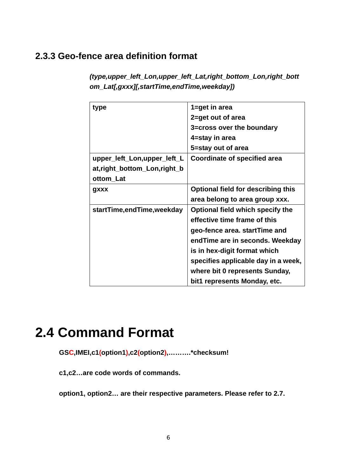#### <span id="page-6-0"></span>**2.3.3 Geo-fence area definition format**

*(type,upper\_left\_Lon,upper\_left\_Lat,right\_bottom\_Lon,right\_bott om\_Lat[,gxxx][,startTime,endTime,weekday])* 

| type                        | 1=get in area                             |
|-----------------------------|-------------------------------------------|
|                             | 2=get out of area                         |
|                             | 3=cross over the boundary                 |
|                             | 4=stay in area                            |
|                             | 5=stay out of area                        |
| upper_left_Lon,upper_left_L | Coordinate of specified area              |
| at,right_bottom_Lon,right_b |                                           |
| ottom_Lat                   |                                           |
| gxxx                        | <b>Optional field for describing this</b> |
|                             | area belong to area group xxx.            |
| startTime,endTime,weekday   | Optional field which specify the          |
|                             | effective time frame of this              |
|                             | geo-fence area. startTime and             |
|                             | endTime are in seconds. Weekday           |
|                             | is in hex-digit format which              |
|                             | specifies applicable day in a week,       |
|                             | where bit 0 represents Sunday,            |
|                             | bit1 represents Monday, etc.              |

## **2.4 Command Format**

**GSC,IMEI,c1(option1),c2(option2),……….\*checksum!** 

**c1,c2…are code words of commands.** 

**option1, option2… are their respective parameters. Please refer to 2.7.**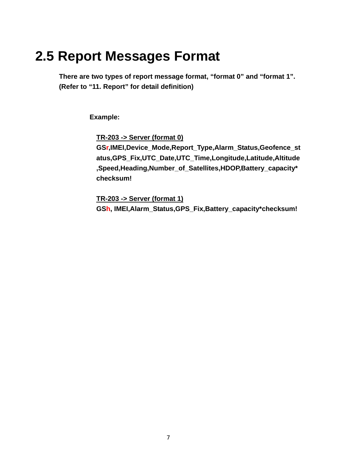## <span id="page-7-0"></span>**2.5 Report Messages Format**

**There are two types of report message format, "format 0" and "format 1". (Refer to "11. Report" for detail definition)** 

**Example:** 

**TR-203 -> Server (format 0)**

**GSr,IMEI,Device\_Mode,Report\_Type,Alarm\_Status,Geofence\_st atus,GPS\_Fix,UTC\_Date,UTC\_Time,Longitude,Latitude,Altitude ,Speed,Heading,Number\_of\_Satellites,HDOP,Battery\_capacity\* checksum!** 

**TR-203 -> Server (format 1) GSh, IMEI,Alarm\_Status,GPS\_Fix,Battery\_capacity\*checksum!**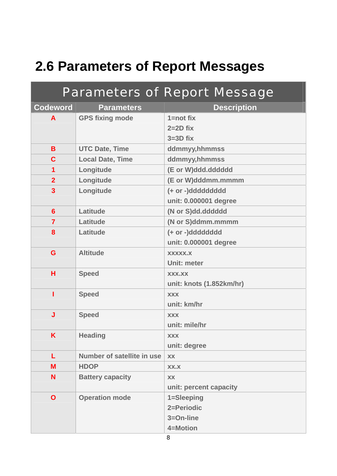## <span id="page-8-0"></span>**2.6 Parameters of Report Messages**

|                         |                            | <b>Parameters of Report Message</b> |  |  |
|-------------------------|----------------------------|-------------------------------------|--|--|
| <b>Codeword</b>         | <b>Parameters</b>          | <b>Description</b>                  |  |  |
| A                       | <b>GPS fixing mode</b>     | $1 = not fix$                       |  |  |
|                         |                            | $2=2D$ fix                          |  |  |
|                         |                            | $3=3D$ fix                          |  |  |
| B                       | <b>UTC Date, Time</b>      | ddmmyy,hhmmss                       |  |  |
| $\mathbf c$             | <b>Local Date, Time</b>    | ddmmyy,hhmmss                       |  |  |
| 1                       | Longitude                  | (E or W)ddd.dddddd                  |  |  |
| $\overline{2}$          | Longitude                  | (E or W)dddmm.mmmm                  |  |  |
| $\overline{\mathbf{3}}$ | Longitude                  | (+ or -)ddddddddd                   |  |  |
|                         |                            | unit: 0.000001 degree               |  |  |
| $6\phantom{1}$          | Latitude                   | (N or S)dd.dddddd                   |  |  |
| $\overline{7}$          | Latitude                   | (N or S)ddmm.mmmm                   |  |  |
| 8                       | Latitude                   | (+ or -)dddddddd                    |  |  |
|                         |                            | unit: 0.000001 degree               |  |  |
| G                       | <b>Altitude</b>            | <b>XXXXX.X</b>                      |  |  |
|                         |                            | <b>Unit: meter</b>                  |  |  |
| н                       | <b>Speed</b>               | <b>XXX.XX</b>                       |  |  |
|                         |                            | unit: knots (1.852km/hr)            |  |  |
| T                       | <b>Speed</b>               | <b>XXX</b>                          |  |  |
|                         |                            | unit: km/hr                         |  |  |
| J                       | <b>Speed</b>               | <b>XXX</b>                          |  |  |
|                         |                            | unit: mile/hr                       |  |  |
| Κ                       | <b>Heading</b>             | <b>XXX</b>                          |  |  |
|                         |                            | unit: degree                        |  |  |
| L                       | Number of satellite in use | <b>XX</b>                           |  |  |
| M                       | <b>HDOP</b>                | XX.X                                |  |  |
| N                       | <b>Battery capacity</b>    | XX                                  |  |  |
|                         |                            | unit: percent capacity              |  |  |
| $\mathbf O$             | <b>Operation mode</b>      | 1=Sleeping                          |  |  |
|                         |                            | 2=Periodic                          |  |  |
|                         |                            | 3=On-line                           |  |  |
|                         |                            | 4=Motion                            |  |  |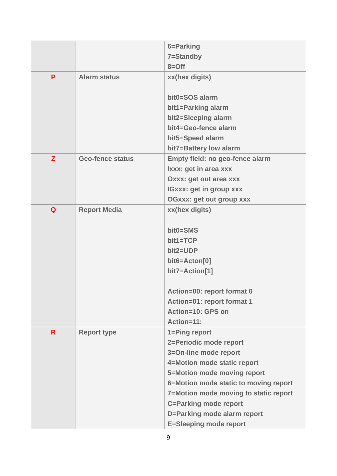|    |                         | 6=Parking                             |  |
|----|-------------------------|---------------------------------------|--|
|    |                         | 7=Standby                             |  |
|    |                         | $8 =$ Off                             |  |
| P  | <b>Alarm status</b>     | xx(hex digits)                        |  |
|    |                         | bit0=SOS alarm                        |  |
|    |                         | bit1=Parking alarm                    |  |
|    |                         | bit2=Sleeping alarm                   |  |
|    |                         | bit4=Geo-fence alarm                  |  |
|    |                         | bit5=Speed alarm                      |  |
|    |                         | bit7=Battery low alarm                |  |
| Z  | <b>Geo-fence status</b> | Empty field: no geo-fence alarm       |  |
|    |                         | Ixxx: get in area xxx                 |  |
|    |                         | <b>Oxxx: get out area xxx</b>         |  |
|    |                         | <b>IGXXX: get in group XXX</b>        |  |
|    |                         | <b>OGxxx: get out group xxx</b>       |  |
| Q  | <b>Report Media</b>     | xx(hex digits)                        |  |
|    |                         |                                       |  |
|    |                         | bit0=SMS                              |  |
|    |                         | bit1=TCP                              |  |
|    |                         | bit2=UDP                              |  |
|    |                         | bit6=Acton[0]                         |  |
|    |                         | bit7=Action[1]                        |  |
|    |                         | Action=00: report format 0            |  |
|    |                         | Action=01: report format 1            |  |
|    |                         | Action=10: GPS on                     |  |
|    |                         | Action=11:                            |  |
| R. | <b>Report type</b>      | 1=Ping report                         |  |
|    |                         | 2=Periodic mode report                |  |
|    |                         | 3=On-line mode report                 |  |
|    |                         | 4=Motion mode static report           |  |
|    |                         | 5=Motion mode moving report           |  |
|    |                         | 6=Motion mode static to moving report |  |
|    |                         | 7=Motion mode moving to static report |  |
|    |                         | <b>C=Parking mode report</b>          |  |
|    |                         | D=Parking mode alarm report           |  |
|    |                         | <b>E=Sleeping mode report</b>         |  |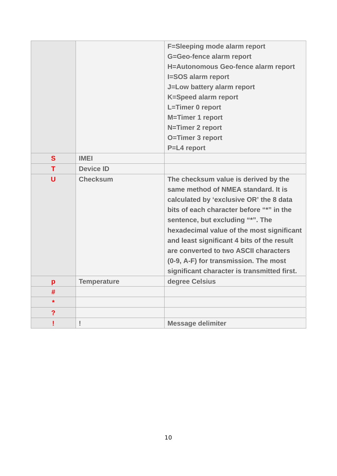|                         |                    | <b>F=Sleeping mode alarm report</b>                                                                                                                                                                                                                                                                                                                                                                                                |  |  |
|-------------------------|--------------------|------------------------------------------------------------------------------------------------------------------------------------------------------------------------------------------------------------------------------------------------------------------------------------------------------------------------------------------------------------------------------------------------------------------------------------|--|--|
|                         |                    | G=Geo-fence alarm report                                                                                                                                                                                                                                                                                                                                                                                                           |  |  |
|                         |                    | H=Autonomous Geo-fence alarm report                                                                                                                                                                                                                                                                                                                                                                                                |  |  |
|                         |                    | <b>I=SOS alarm report</b>                                                                                                                                                                                                                                                                                                                                                                                                          |  |  |
|                         |                    | J=Low battery alarm report                                                                                                                                                                                                                                                                                                                                                                                                         |  |  |
|                         |                    | <b>K=Speed alarm report</b>                                                                                                                                                                                                                                                                                                                                                                                                        |  |  |
|                         |                    | L=Timer 0 report                                                                                                                                                                                                                                                                                                                                                                                                                   |  |  |
|                         |                    | <b>M=Timer 1 report</b>                                                                                                                                                                                                                                                                                                                                                                                                            |  |  |
|                         |                    | N=Timer 2 report                                                                                                                                                                                                                                                                                                                                                                                                                   |  |  |
|                         |                    | O=Timer 3 report                                                                                                                                                                                                                                                                                                                                                                                                                   |  |  |
|                         |                    | P=L4 report                                                                                                                                                                                                                                                                                                                                                                                                                        |  |  |
| $\mathbf{s}$            | <b>IMEI</b>        |                                                                                                                                                                                                                                                                                                                                                                                                                                    |  |  |
| T                       | <b>Device ID</b>   |                                                                                                                                                                                                                                                                                                                                                                                                                                    |  |  |
| U                       | <b>Checksum</b>    | The checksum value is derived by the<br>same method of NMEA standard. It is<br>calculated by 'exclusive OR' the 8 data<br>bits of each character before "*" in the<br>sentence, but excluding "*". The<br>hexadecimal value of the most significant<br>and least significant 4 bits of the result<br>are converted to two ASCII characters<br>(0-9, A-F) for transmission. The most<br>significant character is transmitted first. |  |  |
| p                       | <b>Temperature</b> | degree Celsius                                                                                                                                                                                                                                                                                                                                                                                                                     |  |  |
| #                       |                    |                                                                                                                                                                                                                                                                                                                                                                                                                                    |  |  |
| $\star$                 |                    |                                                                                                                                                                                                                                                                                                                                                                                                                                    |  |  |
| $\overline{\mathbf{?}}$ |                    |                                                                                                                                                                                                                                                                                                                                                                                                                                    |  |  |
| Ţ                       | Ţ                  | <b>Message delimiter</b>                                                                                                                                                                                                                                                                                                                                                                                                           |  |  |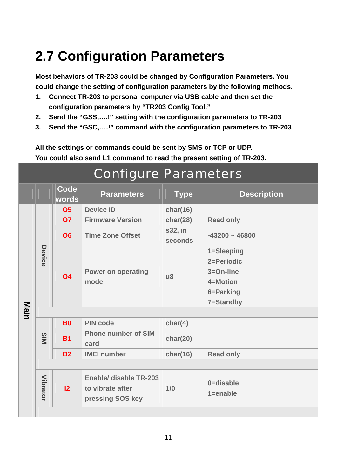# <span id="page-11-0"></span>**2.7 Configuration Parameters**

**Most behaviors of TR-203 could be changed by Configuration Parameters. You could change the setting of configuration parameters by the following methods.** 

- **1. Connect TR-203 to personal computer via USB cable and then set the configuration parameters by "TR203 Config Tool."**
- **2. Send the "GSS,….!" setting with the configuration parameters to TR-203**
- **3. Send the "GSC,….!" command with the configuration parameters to TR-203**

**All the settings or commands could be sent by SMS or TCP or UDP. You could also send L1 command to read the present setting of TR-203.** 

| <b>Configure Parameters</b> |                 |               |                                                                |                    |                           |  |
|-----------------------------|-----------------|---------------|----------------------------------------------------------------|--------------------|---------------------------|--|
|                             |                 | Code<br>words | <b>Parameters</b>                                              | <b>Type</b>        | <b>Description</b>        |  |
|                             |                 | <b>O5</b>     | <b>Device ID</b>                                               | char(16)           |                           |  |
|                             |                 | 07            | <b>Firmware Version</b>                                        | char(28)           | <b>Read only</b>          |  |
|                             |                 | <b>O6</b>     | <b>Time Zone Offset</b>                                        | s32, in<br>seconds | $-43200 - 46800$          |  |
|                             | Device          |               |                                                                |                    | 1=Sleeping                |  |
|                             |                 |               | <b>Power on operating</b><br>mode                              | $\mathsf{u}8$      | 2=Periodic                |  |
|                             |                 | <b>O4</b>     |                                                                |                    | $3 = On$ -line            |  |
|                             |                 |               |                                                                |                    | 4=Motion                  |  |
|                             |                 |               |                                                                |                    | 6=Parking                 |  |
|                             |                 |               |                                                                |                    | 7=Standby                 |  |
| Main                        |                 |               |                                                                |                    |                           |  |
|                             |                 | <b>B0</b>     | <b>PIN code</b>                                                | char(4)            |                           |  |
|                             | SIM             | <b>B1</b>     | <b>Phone number of SIM</b><br>card                             | char(20)           |                           |  |
|                             |                 | <b>B2</b>     | <b>IMEI</b> number                                             | char(16)           | <b>Read only</b>          |  |
|                             |                 |               |                                                                |                    |                           |  |
|                             | <b>Vibrator</b> | 12            | Enable/ disable TR-203<br>to vibrate after<br>pressing SOS key | 1/0                | 0=disable<br>$1 =$ enable |  |
|                             |                 |               |                                                                |                    |                           |  |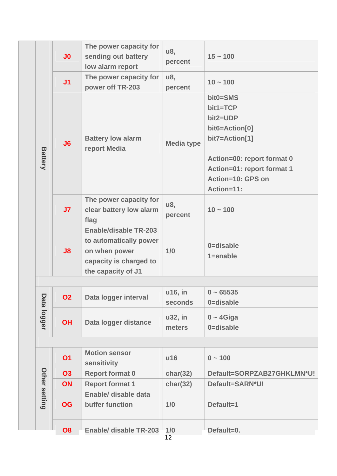|  |                      | J <sub>0</sub> | The power capacity for<br>sending out battery<br>low alarm report                                                       | u8,<br>percent    | $15 - 100$                 |
|--|----------------------|----------------|-------------------------------------------------------------------------------------------------------------------------|-------------------|----------------------------|
|  |                      | J <sub>1</sub> | The power capacity for<br>power off TR-203                                                                              | u8,<br>percent    | $10 - 100$                 |
|  |                      |                |                                                                                                                         |                   | bit0=SMS                   |
|  |                      |                |                                                                                                                         |                   | $bit1 = TCP$               |
|  |                      |                |                                                                                                                         |                   | bit2=UDP                   |
|  |                      |                |                                                                                                                         |                   | bit6=Action[0]             |
|  |                      | J6             | <b>Battery low alarm</b><br>report Media                                                                                | <b>Media type</b> | bit7=Action[1]             |
|  | <b>Battery</b>       |                |                                                                                                                         |                   | Action=00: report format 0 |
|  |                      |                |                                                                                                                         |                   | Action=01: report format 1 |
|  |                      |                |                                                                                                                         |                   | Action=10: GPS on          |
|  |                      |                |                                                                                                                         |                   | Action=11:                 |
|  |                      | J <sub>7</sub> | The power capacity for<br>clear battery low alarm<br>flag                                                               | u8,<br>percent    | $10 - 100$                 |
|  |                      | J8             | <b>Enable/disable TR-203</b><br>to automatically power<br>on when power<br>capacity is charged to<br>the capacity of J1 | 1/0               | 0=disable<br>$1 =$ enable  |
|  |                      |                |                                                                                                                         |                   |                            |
|  |                      | <b>O2</b>      | Data logger interval                                                                                                    | u16, in           | $0 - 65535$                |
|  | Data logger          |                |                                                                                                                         | seconds           | 0=disable                  |
|  |                      | <b>OH</b>      | Data logger distance                                                                                                    | u32, in<br>meters | $0 - 4$ Giga<br>0=disable  |
|  |                      |                |                                                                                                                         |                   |                            |
|  |                      | <b>O1</b>      | <b>Motion sensor</b><br>sensitivity                                                                                     | u16               | $0 - 100$                  |
|  |                      | <b>O3</b>      | <b>Report format 0</b>                                                                                                  | char(32)          | Default=SORPZAB27GHKLMN*U! |
|  |                      | ON             | <b>Report format 1</b>                                                                                                  | char(32)          | Default=SARN*U!            |
|  | <b>Other setting</b> | <b>OG</b>      | Enable/ disable data<br>buffer function                                                                                 | 1/0               | Default=1                  |
|  |                      | O6             | Enable/ disable TR-203 4/0                                                                                              |                   | Default=0.                 |
|  |                      |                |                                                                                                                         |                   |                            |

12 **O8 Enable/ disable TR-203 1/0 Default=0.**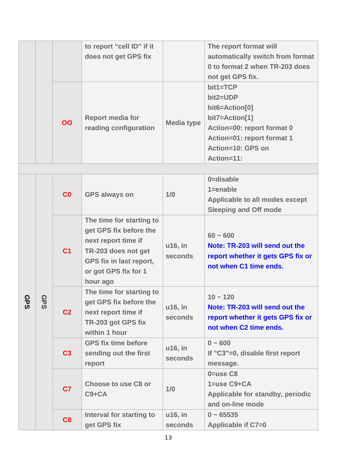|            |            |                | to report "cell ID" if it<br>does not get GPS fix                                                                                                               |                    | The report format will<br>automatically switch from format<br>0 to format 2 when TR-203 does<br>not get GPS fix.                                            |
|------------|------------|----------------|-----------------------------------------------------------------------------------------------------------------------------------------------------------------|--------------------|-------------------------------------------------------------------------------------------------------------------------------------------------------------|
|            |            | OO             | <b>Report media for</b><br>reading configuration                                                                                                                | <b>Media type</b>  | $bit1 = TCP$<br>bit2=UDP<br>bit6=Action[0]<br>bit7=Action[1]<br>Action=00: report format 0<br>Action=01: report format 1<br>Action=10: GPS on<br>Action=11: |
|            |            |                |                                                                                                                                                                 |                    |                                                                                                                                                             |
|            | <b>GPS</b> | C <sub>0</sub> | <b>GPS always on</b>                                                                                                                                            | 1/0                | 0=disable<br>$1 =$ enable<br>Applicable to all modes except<br><b>Sleeping and Off mode</b>                                                                 |
| <b>GPS</b> |            | C <sub>1</sub> | The time for starting to<br>get GPS fix before the<br>next report time if<br>TR-203 does not get<br>GPS fix in last report,<br>or got GPS fix for 1<br>hour ago | u16, in<br>seconds | $60 - 600$<br>Note: TR-203 will send out the<br>report whether it gets GPS fix or<br>not when C1 time ends.                                                 |
|            |            | C <sub>2</sub> | The time for starting to<br>get GPS fix before the<br>next report time if<br>TR-203 got GPS fix<br>within 1 hour                                                | u16, in<br>seconds | $10 - 120$<br>Note: TR-203 will send out the<br>report whether it gets GPS fix or<br>not when C2 time ends.                                                 |
|            |            | C <sub>3</sub> | <b>GPS fix time before</b><br>sending out the first<br>report                                                                                                   | u16, in<br>seconds | $0 - 600$<br>If "C3"=0, disable first report<br>message.                                                                                                    |
|            |            | C <sub>7</sub> | <b>Choose to use C8 or</b><br>$C9 + CA$                                                                                                                         | 1/0                | $0 = use C8$<br>$1 = use C9 + CA$<br>Applicable for standby, periodic<br>and on-line mode                                                                   |
|            |            | C8             | Interval for starting to<br>get GPS fix                                                                                                                         | u16, in<br>seconds | $0 - 65535$<br>Applicable if C7=0                                                                                                                           |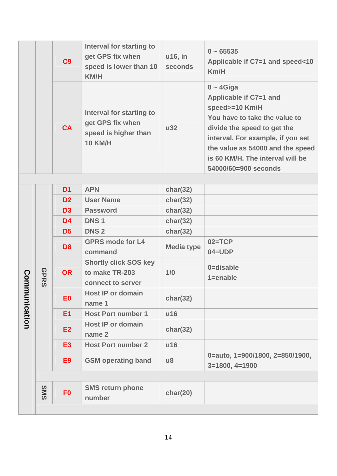|           |             | C <sub>9</sub> | Interval for starting to<br>get GPS fix when<br>speed is lower than 10<br><b>KM/H</b>  | u16, in<br>seconds     | $0 - 65535$<br>Applicable if C7=1 and speed<10<br>Km/H                                                                                                                                                                                                        |
|-----------|-------------|----------------|----------------------------------------------------------------------------------------|------------------------|---------------------------------------------------------------------------------------------------------------------------------------------------------------------------------------------------------------------------------------------------------------|
|           |             | <b>CA</b>      | Interval for starting to<br>get GPS fix when<br>speed is higher than<br><b>10 KM/H</b> | <b>u32</b>             | $0 - 4$ Giga<br>Applicable if C7=1 and<br>speed>=10 Km/H<br>You have to take the value to<br>divide the speed to get the<br>interval. For example, if you set<br>the value as 54000 and the speed<br>is 60 KM/H. The interval will be<br>54000/60=900 seconds |
|           |             |                |                                                                                        |                        |                                                                                                                                                                                                                                                               |
|           |             | D <sub>1</sub> | <b>APN</b>                                                                             | char(32)               |                                                                                                                                                                                                                                                               |
|           |             | D <sub>2</sub> | <b>User Name</b>                                                                       | char(32)               |                                                                                                                                                                                                                                                               |
|           |             | D <sub>3</sub> | <b>Password</b>                                                                        | char(32)               |                                                                                                                                                                                                                                                               |
|           |             | D <sub>4</sub> | <b>DNS1</b>                                                                            | char(32)               |                                                                                                                                                                                                                                                               |
|           | <b>GPRS</b> | D <sub>5</sub> | <b>DNS2</b>                                                                            | char(32)               |                                                                                                                                                                                                                                                               |
|           |             | D <sub>8</sub> | <b>GPRS mode for L4</b><br>command                                                     | <b>Media type</b>      | $02 = TCP$<br>$04 = UDP$                                                                                                                                                                                                                                      |
| Comm      |             | <b>OR</b>      | <b>Shortly click SOS key</b><br>to make TR-203<br>connect to server                    | 1/0                    | 0=disable<br>$1 =$ enable                                                                                                                                                                                                                                     |
| unication |             | E <sub>0</sub> | <b>Host IP or domain</b><br>name 1                                                     | char(32)               |                                                                                                                                                                                                                                                               |
|           |             | E1             | <b>Host Port number 1</b>                                                              | u16                    |                                                                                                                                                                                                                                                               |
|           |             | <b>E2</b>      | <b>Host IP or domain</b><br>name 2                                                     | char(32)               |                                                                                                                                                                                                                                                               |
|           |             | <b>E3</b>      | <b>Host Port number 2</b>                                                              | u16                    |                                                                                                                                                                                                                                                               |
|           |             | E <sub>9</sub> | <b>GSM operating band</b>                                                              | $\mathsf{u}\mathsf{8}$ | 0=auto, 1=900/1800, 2=850/1900,<br>$3=1800, 4=1900$                                                                                                                                                                                                           |
|           |             |                |                                                                                        |                        |                                                                                                                                                                                                                                                               |
|           | SMS         | F <sub>0</sub> | <b>SMS return phone</b><br>number                                                      | char(20)               |                                                                                                                                                                                                                                                               |
|           |             |                |                                                                                        |                        |                                                                                                                                                                                                                                                               |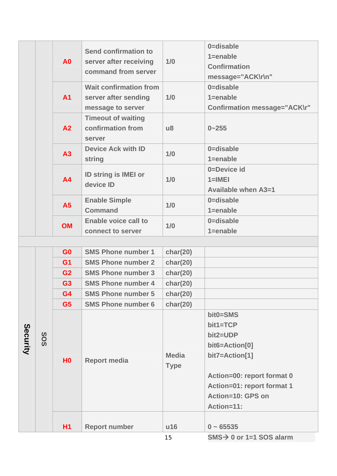|          |     |                |                               |                        | 0=disable                            |
|----------|-----|----------------|-------------------------------|------------------------|--------------------------------------|
|          |     |                | <b>Send confirmation to</b>   |                        | $1 =$ enable                         |
|          |     | <b>A0</b>      | server after receiving        | 1/0                    | <b>Confirmation</b>                  |
|          |     |                | command from server           |                        | message="ACK\r\n"                    |
|          |     |                | <b>Wait confirmation from</b> |                        | 0=disable                            |
|          |     | <b>A1</b>      | server after sending          | 1/0                    | $1 =$ enable                         |
|          |     |                | message to server             |                        | <b>Confirmation message="ACK\r"</b>  |
|          |     |                | <b>Timeout of waiting</b>     |                        |                                      |
|          |     | A2             | confirmation from             | $\mathsf{u}\mathsf{8}$ | $0 - 255$                            |
|          |     |                | server                        |                        |                                      |
|          |     | A3             | <b>Device Ack with ID</b>     | 1/0                    | 0=disable                            |
|          |     |                | string                        |                        | $1 =$ enable                         |
|          |     |                | ID string is IMEI or          |                        | 0=Device id                          |
|          |     | <b>A4</b>      | device ID                     | 1/0                    | $1=$ IMEI                            |
|          |     |                |                               |                        | <b>Available when A3=1</b>           |
|          |     | A <sub>5</sub> | <b>Enable Simple</b>          | 1/0                    | 0=disable                            |
|          |     |                | <b>Command</b>                |                        | $1 =$ enable                         |
|          |     | <b>OM</b>      | <b>Enable voice call to</b>   | 1/0                    | 0=disable                            |
|          |     |                | connect to server             |                        | $1 =$ enable                         |
|          |     |                |                               |                        |                                      |
|          |     | G <sub>0</sub> | <b>SMS Phone number 1</b>     | char(20)               |                                      |
|          |     | G <sub>1</sub> | <b>SMS Phone number 2</b>     | char(20)               |                                      |
|          |     | G <sub>2</sub> | <b>SMS Phone number 3</b>     | char(20)               |                                      |
|          |     | G <sub>3</sub> | <b>SMS Phone number 4</b>     | char(20)               |                                      |
|          |     | G4             | <b>SMS Phone number 5</b>     | char(20)               |                                      |
|          |     | G <sub>5</sub> | <b>SMS Phone number 6</b>     | char(20)               |                                      |
|          |     |                |                               |                        | bit0=SMS                             |
|          |     |                |                               |                        | bit1=TCP                             |
| Security | SOS |                |                               |                        | bit2=UDP                             |
|          |     |                |                               |                        | bit6=Action[0]                       |
|          |     | H <sub>0</sub> | <b>Report media</b>           | <b>Media</b>           | bit7=Action[1]                       |
|          |     |                |                               | <b>Type</b>            |                                      |
|          |     |                |                               |                        | Action=00: report format 0           |
|          |     |                |                               |                        | Action=01: report format 1           |
|          |     |                |                               |                        | Action=10: GPS on                    |
|          |     |                |                               |                        | <b>Action=11:</b>                    |
|          |     | <b>H1</b>      |                               |                        | $0 - 65535$                          |
|          |     |                | <b>Report number</b>          | u16<br>15              | $SMS \rightarrow 0$ or 1=1 SOS alarm |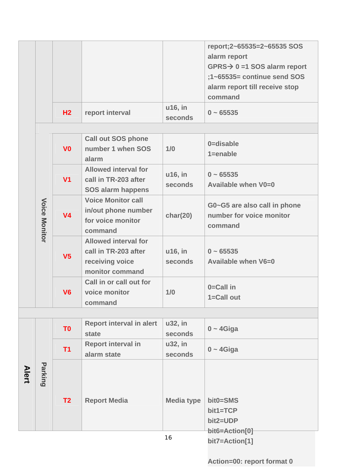| H <sub>2</sub> | report interval | u16, in<br>seconds | $0 - 65535$                                                                                                                                                            |
|----------------|-----------------|--------------------|------------------------------------------------------------------------------------------------------------------------------------------------------------------------|
|                |                 |                    | report;2~65535=2~65535 SOS<br>alarm report<br>$GPRS \rightarrow 0 = 1$ SOS alarm report<br>$;1$ ~65535= continue send SOS<br>alarm report till receive stop<br>command |

|                      | V <sub>0</sub> | <b>Call out SOS phone</b><br>number 1 when SOS<br>alarm                                   | 1/0                       | 0=disable<br>$1 =$ enable                                           |
|----------------------|----------------|-------------------------------------------------------------------------------------------|---------------------------|---------------------------------------------------------------------|
|                      | V <sub>1</sub> | <b>Allowed interval for</b><br>call in TR-203 after<br><b>SOS alarm happens</b>           | u16, in<br>seconds        | $0 - 65535$<br>Available when V0=0                                  |
| <b>Voice Monitor</b> | V <sub>4</sub> | <b>Voice Monitor call</b><br>in/out phone number<br>for voice monitor<br>command          | char(20)                  | G0~G5 are also call in phone<br>number for voice monitor<br>command |
|                      | V <sub>5</sub> | <b>Allowed interval for</b><br>call in TR-203 after<br>receiving voice<br>monitor command | u16, in<br><b>seconds</b> | $0 - 65535$<br>Available when V6=0                                  |
|                      | V <sub>6</sub> | Call in or call out for<br>voice monitor<br>command                                       | 1/0                       | $0=$ Call in<br>1=Call out                                          |

|              |         | T <sub>0</sub> | <b>Report interval in alert</b><br>state | u32, in<br>seconds | $0 - 4$ Giga                     |
|--------------|---------|----------------|------------------------------------------|--------------------|----------------------------------|
|              |         | T1             | <b>Report interval in</b>                | u32, in            | $0 - 4$ Giga                     |
|              |         |                | alarm state                              | seconds            |                                  |
| <b>Alert</b> | Parking | T2             | <b>Report Media</b>                      | <b>Media type</b>  | bit0=SMS<br>bit1=TCP<br>bit2=UDP |
|              |         |                |                                          |                    | bit6=Action[0]                   |
|              |         |                |                                          | 16                 | bit7=Action[1]                   |

**Action=00: report format 0**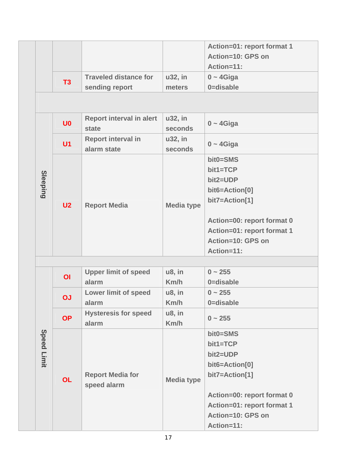|  |                 | T3             | <b>Traveled distance for</b><br>sending report | u32, in<br>meters  | Action=01: report format 1<br>Action=10: GPS on<br>Action=11:<br>$0 - 4$ Giga<br>0=disable                                                                          |
|--|-----------------|----------------|------------------------------------------------|--------------------|---------------------------------------------------------------------------------------------------------------------------------------------------------------------|
|  |                 |                |                                                |                    |                                                                                                                                                                     |
|  |                 | U <sub>0</sub> | <b>Report interval in alert</b><br>state       | u32, in<br>seconds | $0 - 4$ Giga                                                                                                                                                        |
|  |                 | U <sub>1</sub> | <b>Report interval in</b><br>alarm state       | u32, in<br>seconds | $0 - 4$ Giga                                                                                                                                                        |
|  | <b>Sleeping</b> | U <sub>2</sub> | <b>Report Media</b>                            | <b>Media type</b>  | bit0=SMS<br>bit1=TCP<br>bit2=UDP<br>bit6=Action[0]<br>bit7=Action[1]<br>Action=00: report format 0<br>Action=01: report format 1<br>Action=10: GPS on<br>Action=11: |

|              |                |                             |                   | $0 \sim 255$               |
|--------------|----------------|-----------------------------|-------------------|----------------------------|
|              | $\overline{O}$ | <b>Upper limit of speed</b> | u8, in            |                            |
|              |                | alarm                       | Km/h              | 0=disable                  |
|              | OJ             | <b>Lower limit of speed</b> | u8, in            | $0 \sim 255$               |
|              |                | alarm                       | Km/h              | 0=disable                  |
|              | <b>OP</b>      | <b>Hysteresis for speed</b> | $u8$ , in         | $0 \sim 255$               |
|              |                | alarm                       | Km/h              |                            |
|              |                |                             |                   | bit0=SMS                   |
| <b>Speed</b> |                |                             |                   | bit1=TCP                   |
|              |                |                             |                   | bit2=UDP                   |
| Limit        |                |                             |                   | bit6=Action[0]             |
|              |                | <b>Report Media for</b>     |                   | bit7=Action[1]             |
|              | <b>OL</b>      | speed alarm                 | <b>Media type</b> |                            |
|              |                |                             |                   | Action=00: report format 0 |
|              |                |                             |                   | Action=01: report format 1 |
|              |                |                             |                   | Action=10: GPS on          |
|              |                |                             |                   | Action=11:                 |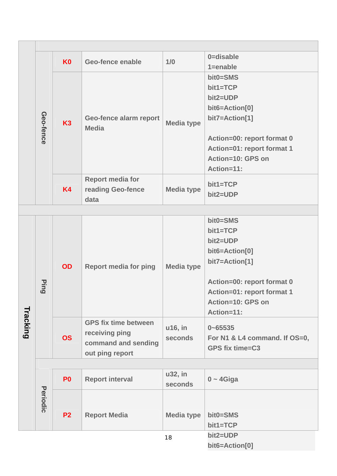|          |           | K <sub>0</sub> | Geo-fence enable             | 1/0               | 0=disable                         |
|----------|-----------|----------------|------------------------------|-------------------|-----------------------------------|
|          |           |                |                              |                   | $1 =$ enable                      |
|          |           |                |                              |                   | bit0=SMS                          |
|          |           |                |                              |                   | $bit1 = TCP$                      |
|          |           |                |                              |                   | bit2=UDP                          |
|          |           |                |                              |                   | bit6=Action[0]                    |
|          | Geo-fence | <b>K3</b>      | Geo-fence alarm report       | <b>Media type</b> | bit7=Action[1]                    |
|          |           |                | <b>Media</b>                 |                   |                                   |
|          |           |                |                              |                   | Action=00: report format 0        |
|          |           |                |                              |                   | Action=01: report format 1        |
|          |           |                |                              |                   | Action=10: GPS on                 |
|          |           |                |                              |                   | Action=11:                        |
|          |           |                | <b>Report media for</b>      |                   | bit1=TCP                          |
|          |           | <b>K4</b>      | reading Geo-fence            | <b>Media type</b> | bit2=UDP                          |
|          |           |                | data                         |                   |                                   |
|          |           |                |                              |                   |                                   |
|          |           |                |                              |                   | bit0=SMS                          |
|          |           |                |                              |                   | $bit1 = TCP$                      |
|          |           |                |                              |                   | bit2=UDP                          |
|          |           | <b>OD</b>      | <b>Report media for ping</b> | <b>Media type</b> | bit6=Action[0]                    |
|          |           |                |                              |                   | bit7=Action[1]                    |
|          |           |                |                              |                   |                                   |
|          | Ping      |                |                              |                   | Action=00: report format 0        |
|          |           |                |                              |                   | <b>Action=01: report format 1</b> |
|          |           |                |                              |                   | Action=10: GPS on                 |
| Tracking |           |                |                              |                   | <b>Action=11:</b>                 |
|          |           |                | <b>GPS fix time between</b>  | u16, in           | $0 - 65535$                       |
|          |           | <b>OS</b>      | receiving ping               | seconds           | For N1 & L4 command. If OS=0,     |
|          |           |                | command and sending          |                   | <b>GPS fix time=C3</b>            |
|          |           |                | out ping report              |                   |                                   |
|          |           |                |                              |                   |                                   |
|          |           | P <sub>0</sub> | <b>Report interval</b>       | u32, in           | $0 - 4$ Giga                      |
|          |           |                |                              | seconds           |                                   |
|          | Periodic  |                |                              |                   |                                   |
|          |           | <b>P2</b>      |                              | <b>Media type</b> | bit0=SMS                          |
|          |           |                | <b>Report Media</b>          |                   | bit1=TCP                          |
|          |           |                |                              |                   | bit2=UDP                          |
|          |           |                |                              | 18                | bit6=Action[0]                    |
|          |           |                |                              |                   |                                   |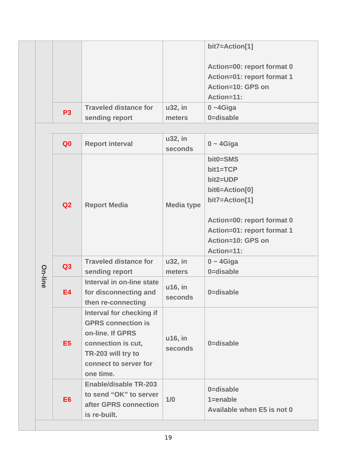|           |                              |         | bit7=Action[1]             |
|-----------|------------------------------|---------|----------------------------|
|           |                              |         | Action=00: report format 0 |
|           |                              |         | Action=01: report format 1 |
|           |                              |         | Action=10: GPS on          |
|           |                              |         | Action=11:                 |
| <b>P3</b> | <b>Traveled distance for</b> | u32, in | $0 - 4$ Giga               |
|           | sending report               | meters  | 0=disable                  |

|                | Q <sub>0</sub> | <b>Report interval</b>                                                                                                                                      | u32, in<br>seconds | $0 - 4$ Giga                                                                                                                                                            |
|----------------|----------------|-------------------------------------------------------------------------------------------------------------------------------------------------------------|--------------------|-------------------------------------------------------------------------------------------------------------------------------------------------------------------------|
|                | Q2             | <b>Report Media</b>                                                                                                                                         | <b>Media type</b>  | bit0=SMS<br>$bit1 = TCP$<br>bit2=UDP<br>bit6=Action[0]<br>bit7=Action[1]<br>Action=00: report format 0<br>Action=01: report format 1<br>Action=10: GPS on<br>Action=11: |
| <b>On-line</b> | Q3             | <b>Traveled distance for</b><br>sending report                                                                                                              | u32, in<br>meters  | $0 - 4$ Giga<br>0=disable                                                                                                                                               |
|                | <b>E4</b>      | Interval in on-line state<br>for disconnecting and<br>then re-connecting                                                                                    | u16, in<br>seconds | 0=disable                                                                                                                                                               |
|                | E <sub>5</sub> | Interval for checking if<br><b>GPRS</b> connection is<br>on-line. If GPRS<br>connection is cut,<br>TR-203 will try to<br>connect to server for<br>one time. | u16, in<br>seconds | 0=disable                                                                                                                                                               |
|                | E <sub>6</sub> | <b>Enable/disable TR-203</b><br>to send "OK" to server<br>after GPRS connection<br>is re-built.                                                             | 1/0                | 0=disable<br>$1 =$ enable<br>Available when E5 is not 0                                                                                                                 |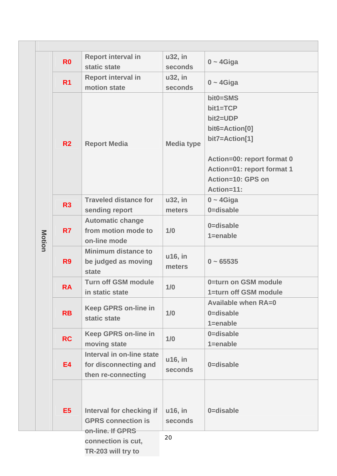|        | R <sub>0</sub> | <b>Report interval in</b>    | u32, in           | $0 - 4$ Giga               |
|--------|----------------|------------------------------|-------------------|----------------------------|
|        |                | static state                 | seconds           |                            |
|        | R <sub>1</sub> | <b>Report interval in</b>    | u32, in           | $0 - 4$ Giga               |
|        |                | motion state                 | seconds           |                            |
|        |                |                              |                   | bit0=SMS                   |
|        |                |                              |                   | bit1=TCP                   |
|        |                |                              |                   | bit2=UDP                   |
|        |                |                              |                   | bit6=Action[0]             |
|        | R <sub>2</sub> | <b>Report Media</b>          | <b>Media type</b> | bit7=Action[1]             |
|        |                |                              |                   |                            |
|        |                |                              |                   | Action=00: report format 0 |
|        |                |                              |                   | Action=01: report format 1 |
|        |                |                              |                   | <b>Action=10: GPS on</b>   |
|        |                |                              |                   | Action=11:                 |
|        | R3             | <b>Traveled distance for</b> | u32, in           | $0 - 4$ Giga               |
|        |                | sending report               | meters            | 0=disable                  |
|        |                | <b>Automatic change</b>      |                   | 0=disable                  |
|        | R <sub>7</sub> | from motion mode to          | 1/0               | $1 =$ enable               |
| Motion |                | on-line mode                 |                   |                            |
|        |                | <b>Minimum distance to</b>   | u16, in           |                            |
|        | R <sub>9</sub> | be judged as moving          | meters            | $0 - 65535$                |
|        |                | state                        |                   |                            |
|        | <b>RA</b>      | <b>Turn off GSM module</b>   | 1/0               | 0=turn on GSM module       |
|        |                | in static state              |                   | 1=turn off GSM module      |
|        |                | <b>Keep GPRS on-line in</b>  |                   | <b>Available when RA=0</b> |
|        | <b>RB</b>      | static state                 | 1/0               | 0=disable                  |
|        |                |                              |                   | $1 =$ enable               |
|        | <b>RC</b>      | <b>Keep GPRS on-line in</b>  | 1/0               | 0=disable                  |
|        |                | moving state                 |                   | $1 =$ enable               |
|        |                | Interval in on-line state    | u16, in           |                            |
|        | <b>E4</b>      | for disconnecting and        | seconds           | 0=disable                  |
|        |                | then re-connecting           |                   |                            |
|        |                |                              |                   |                            |
|        |                |                              |                   |                            |
|        | E <sub>5</sub> | Interval for checking if     | u16, in           | 0=disable                  |
|        |                | <b>GPRS connection is</b>    | seconds           |                            |
|        |                | on-line. If GPRS             |                   |                            |
|        |                | connection is cut,           | 20                |                            |
|        |                | TR-203 will try to           |                   |                            |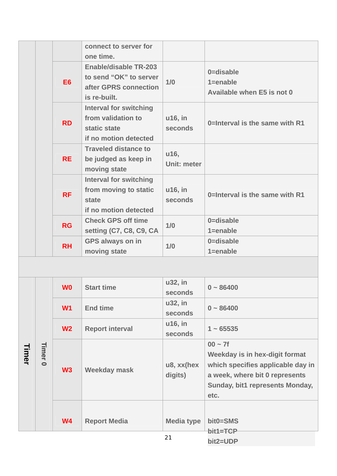|       |                           |                | connect to server for<br>one time.                                                              |                       |                                                                                                                                                               |
|-------|---------------------------|----------------|-------------------------------------------------------------------------------------------------|-----------------------|---------------------------------------------------------------------------------------------------------------------------------------------------------------|
|       |                           | E <sub>6</sub> | <b>Enable/disable TR-203</b><br>to send "OK" to server<br>after GPRS connection<br>is re-built. | 1/0                   | 0=disable<br>$1 =$ enable<br>Available when E5 is not 0                                                                                                       |
|       |                           | <b>RD</b>      | <b>Interval for switching</b><br>from validation to<br>static state<br>if no motion detected    | u16, in<br>seconds    | 0=Interval is the same with R1                                                                                                                                |
|       |                           | <b>RE</b>      | <b>Traveled distance to</b><br>be judged as keep in<br>moving state                             | u16,<br>Unit: meter   |                                                                                                                                                               |
|       |                           | <b>RF</b>      | <b>Interval for switching</b><br>from moving to static<br>state<br>if no motion detected        | u16, in<br>seconds    | 0=Interval is the same with R1                                                                                                                                |
|       |                           | <b>RG</b>      | <b>Check GPS off time</b><br>setting (C7, C8, C9, CA                                            | 1/0                   | 0=disable<br>$1 =$ enable                                                                                                                                     |
|       |                           | <b>RH</b>      | <b>GPS always on in</b><br>moving state                                                         | 1/0                   | 0=disable<br>$1 =$ enable                                                                                                                                     |
|       |                           |                |                                                                                                 |                       |                                                                                                                                                               |
|       |                           | W <sub>0</sub> | <b>Start time</b>                                                                               | u32, in<br>seconds    | $0 - 86400$                                                                                                                                                   |
|       |                           | W <sub>1</sub> | <b>End time</b>                                                                                 | u32, in<br>seconds    | $0 - 86400$                                                                                                                                                   |
|       |                           | W <sub>2</sub> | <b>Report interval</b>                                                                          | u16, in<br>seconds    | $1 - 65535$                                                                                                                                                   |
| Timer | <b>Timer</b><br>$\bullet$ | W3             | <b>Weekday mask</b>                                                                             | u8, xx(hex<br>digits) | $00 - 7f$<br>Weekday is in hex-digit format<br>which specifies applicable day in<br>a week, where bit 0 represents<br>Sunday, bit1 represents Monday,<br>etc. |
|       |                           | W <sub>4</sub> | <b>Report Media</b>                                                                             | <b>Media type</b>     | bit0=SMS<br>bit1=TCP                                                                                                                                          |
|       |                           |                |                                                                                                 | 21                    | bit2=UDP                                                                                                                                                      |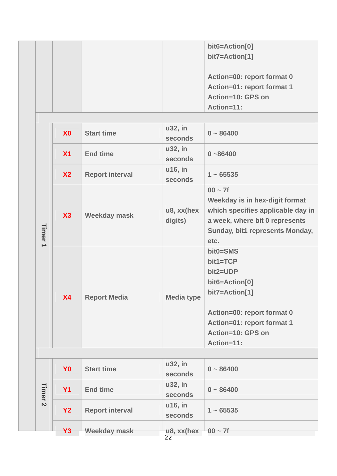|  |  | bit6=Action[0]             |
|--|--|----------------------------|
|  |  | bit7=Action[1]             |
|  |  |                            |
|  |  | Action=00: report format 0 |
|  |  | Action=01: report format 1 |
|  |  | Action=10: GPS on          |
|  |  | Action=11:                 |

|                    | X <sub>0</sub> | <b>Start time</b>      | u32, in<br>seconds    | $0 - 86400$                                                                                                                                                         |
|--------------------|----------------|------------------------|-----------------------|---------------------------------------------------------------------------------------------------------------------------------------------------------------------|
|                    | X <sub>1</sub> | <b>End time</b>        | u32, in<br>seconds    | $0 - 86400$                                                                                                                                                         |
|                    | X <sub>2</sub> | <b>Report interval</b> | u16, in<br>seconds    | $1 - 65535$                                                                                                                                                         |
| Timer <sub>1</sub> | X3             | <b>Weekday mask</b>    | u8, xx(hex<br>digits) | $00 - 7f$<br>Weekday is in hex-digit format<br>which specifies applicable day in<br>a week, where bit 0 represents<br>Sunday, bit1 represents Monday,<br>etc.       |
|                    | <b>X4</b>      | <b>Report Media</b>    | <b>Media type</b>     | bit0=SMS<br>bit1=TCP<br>bit2=UDP<br>bit6=Action[0]<br>bit7=Action[1]<br>Action=00: report format 0<br>Action=01: report format 1<br>Action=10: GPS on<br>Action=11: |

| Timer<br>$\mathbf{N}$ | Y <sub>0</sub> | <b>Start time</b>      | u32, in<br>seconds               | $0 - 86400$ |
|-----------------------|----------------|------------------------|----------------------------------|-------------|
|                       | <b>Y1</b>      | <b>End time</b>        | u32, in<br>seconds               | $0 - 86400$ |
|                       | <b>Y2</b>      | <b>Report interval</b> | u16, in<br>seconds               | $1 - 65535$ |
|                       | <u> Ұ3</u>     | Weekday mask           | u <sub>8</sub> , xx(hex<br>$- -$ | $00 - 7f$   |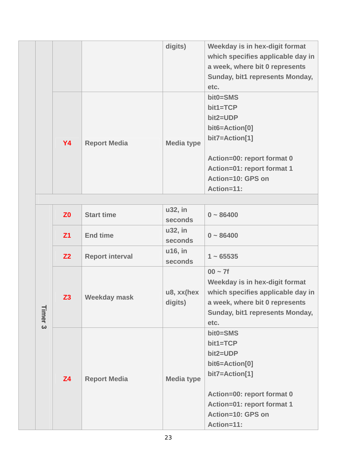|           |                     | digits)           | Weekday is in hex-digit format<br>which specifies applicable day in<br>a week, where bit 0 represents<br>Sunday, bit1 represents Monday,<br>etc.                            |
|-----------|---------------------|-------------------|-----------------------------------------------------------------------------------------------------------------------------------------------------------------------------|
| <b>Y4</b> | <b>Report Media</b> | <b>Media type</b> | $bit0 = SMS$<br>$bit1 = TCP$<br>bit2=UDP<br>bit6=Action[0]<br>bit7=Action[1]<br>Action=00: report format 0<br>Action=01: report format 1<br>Action=10: GPS on<br>Action=11: |

|                    | Z <sub>0</sub> | <b>Start time</b>      | u32, in<br>seconds        | $0 - 86400$                                                                                                                                                             |
|--------------------|----------------|------------------------|---------------------------|-------------------------------------------------------------------------------------------------------------------------------------------------------------------------|
|                    | Z <sub>1</sub> | <b>End time</b>        | u32, in<br><b>seconds</b> | $0 - 86400$                                                                                                                                                             |
|                    | Z <sub>2</sub> | <b>Report interval</b> | u16, in<br>seconds        | $1 - 65535$                                                                                                                                                             |
| Timer <sub>3</sub> | Z <sub>3</sub> | <b>Weekday mask</b>    | u8, xx(hex<br>digits)     | $00 - 7f$<br>Weekday is in hex-digit format<br>which specifies applicable day in<br>a week, where bit 0 represents<br>Sunday, bit1 represents Monday,<br>etc.           |
|                    | <b>Z4</b>      | <b>Report Media</b>    | <b>Media type</b>         | bit0=SMS<br>$bit1 = TCP$<br>bit2=UDP<br>bit6=Action[0]<br>bit7=Action[1]<br>Action=00: report format 0<br>Action=01: report format 1<br>Action=10: GPS on<br>Action=11: |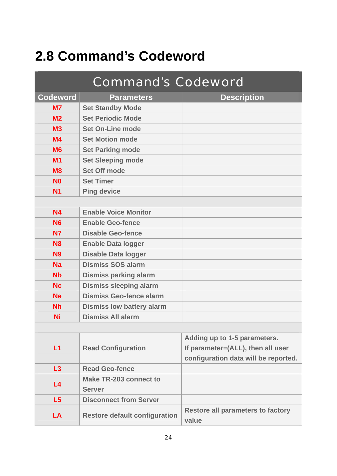# <span id="page-24-0"></span>**2.8 Command's Codeword**

|                      | <b>Command's Codeword</b>            |                                                   |
|----------------------|--------------------------------------|---------------------------------------------------|
| <b>Codeword</b>      | <b>Parameters</b>                    | <b>Description</b>                                |
| M <sub>7</sub>       | <b>Set Standby Mode</b>              |                                                   |
| M <sub>2</sub>       | <b>Set Periodic Mode</b>             |                                                   |
| M <sub>3</sub>       | <b>Set On-Line mode</b>              |                                                   |
| M <sub>4</sub>       | <b>Set Motion mode</b>               |                                                   |
| <b>M6</b>            | <b>Set Parking mode</b>              |                                                   |
| M <sub>1</sub>       | <b>Set Sleeping mode</b>             |                                                   |
| <b>M8</b>            | <b>Set Off mode</b>                  |                                                   |
| N <sub>0</sub>       | <b>Set Timer</b>                     |                                                   |
| <b>N1</b>            | <b>Ping device</b>                   |                                                   |
|                      |                                      |                                                   |
| <b>N4</b>            | <b>Enable Voice Monitor</b>          |                                                   |
| <b>N6</b>            | <b>Enable Geo-fence</b>              |                                                   |
| <b>N7</b>            | <b>Disable Geo-fence</b>             |                                                   |
| <b>N8</b>            | <b>Enable Data logger</b>            |                                                   |
| <b>N9</b>            | <b>Disable Data logger</b>           |                                                   |
| <b>Na</b>            | <b>Dismiss SOS alarm</b>             |                                                   |
| <b>N<sub>b</sub></b> | <b>Dismiss parking alarm</b>         |                                                   |
| <b>Nc</b>            | <b>Dismiss sleeping alarm</b>        |                                                   |
| <b>Ne</b>            | <b>Dismiss Geo-fence alarm</b>       |                                                   |
| <b>Nh</b>            | <b>Dismiss low battery alarm</b>     |                                                   |
| Ni                   | <b>Dismiss All alarm</b>             |                                                   |
|                      |                                      |                                                   |
|                      |                                      | Adding up to 1-5 parameters.                      |
| L1                   | <b>Read Configuration</b>            | If parameter=(ALL), then all user                 |
|                      |                                      | configuration data will be reported.              |
| L3                   | <b>Read Geo-fence</b>                |                                                   |
| L <sub>4</sub>       | Make TR-203 connect to               |                                                   |
|                      | <b>Server</b>                        |                                                   |
| L5                   | <b>Disconnect from Server</b>        |                                                   |
| LA                   | <b>Restore default configuration</b> | <b>Restore all parameters to factory</b><br>value |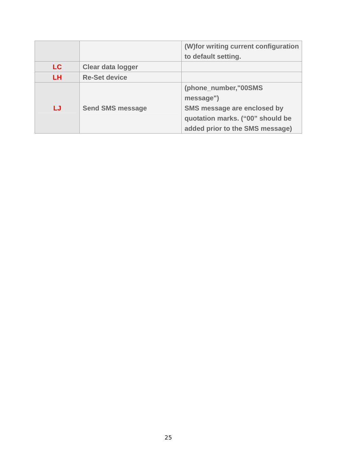|           |                          | (W) for writing current configuration |
|-----------|--------------------------|---------------------------------------|
|           |                          | to default setting.                   |
| <b>LC</b> | <b>Clear data logger</b> |                                       |
| <b>LH</b> | <b>Re-Set device</b>     |                                       |
|           |                          | (phone_number,"00SMS                  |
|           |                          | message")                             |
| LJ        | <b>Send SMS message</b>  | SMS message are enclosed by           |
|           |                          | quotation marks. ("00" should be      |
|           |                          | added prior to the SMS message)       |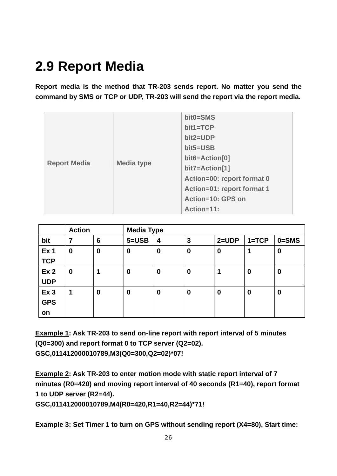# <span id="page-26-0"></span>**2.9 Report Media**

**Report media is the method that TR-203 sends report. No matter you send the command by SMS or TCP or UDP, TR-203 will send the report via the report media.** 

| <b>Report Media</b> | <b>Media type</b> | bit0=SMS<br>bit1=TCP<br>bit2=UDP<br>$bit5 = USB$<br>bit6=Action[0]<br>bit7=Action[1]<br>Action=00: report format 0<br>Action=01: report format 1<br>Action=10: GPS on |
|---------------------|-------------------|-----------------------------------------------------------------------------------------------------------------------------------------------------------------------|
|                     |                   | Action=11:                                                                                                                                                            |

|                 | <b>Action</b>    |                  | <b>Media Type</b> |          |                  |                  |           |                  |
|-----------------|------------------|------------------|-------------------|----------|------------------|------------------|-----------|------------------|
| bit             | 7                | $6\phantom{1}6$  | $5 = USB$         | 4        | 3                | $2 = UDP$        | $1 = TCP$ | $0 =$ SMS        |
| Ex <sub>1</sub> | $\boldsymbol{0}$ | $\boldsymbol{0}$ | $\boldsymbol{0}$  | $\bf{0}$ | $\boldsymbol{0}$ | $\boldsymbol{0}$ | 1         | $\boldsymbol{0}$ |
| <b>TCP</b>      |                  |                  |                   |          |                  |                  |           |                  |
| Ex <sub>2</sub> | $\boldsymbol{0}$ |                  | $\boldsymbol{0}$  | $\bf{0}$ | $\bf{0}$         | 1                | $\bf{0}$  | $\bf{0}$         |
| <b>UDP</b>      |                  |                  |                   |          |                  |                  |           |                  |
| Ex <sub>3</sub> | 1                | $\boldsymbol{0}$ | $\boldsymbol{0}$  | 0        | $\boldsymbol{0}$ | $\boldsymbol{0}$ | $\bf{0}$  | 0                |
| <b>GPS</b>      |                  |                  |                   |          |                  |                  |           |                  |
| <b>on</b>       |                  |                  |                   |          |                  |                  |           |                  |

**Example 1: Ask TR-203 to send on-line report with report interval of 5 minutes (Q0=300) and report format 0 to TCP server (Q2=02). GSC,011412000010789,M3(Q0=300,Q2=02)\*07!** 

**Example 2: Ask TR-203 to enter motion mode with static report interval of 7 minutes (R0=420) and moving report interval of 40 seconds (R1=40), report format 1 to UDP server (R2=44).** 

**GSC,011412000010789,M4(R0=420,R1=40,R2=44)\*71!** 

**Example 3: Set Timer 1 to turn on GPS without sending report (X4=80), Start time:**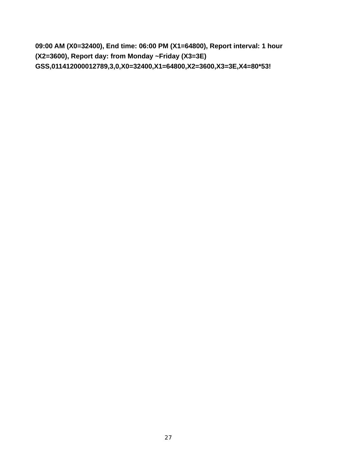**09:00 AM (X0=32400), End time: 06:00 PM (X1=64800), Report interval: 1 hour (X2=3600), Report day: from Monday ~Friday (X3=3E) GSS,011412000012789,3,0,X0=32400,X1=64800,X2=3600,X3=3E,X4=80\*53!**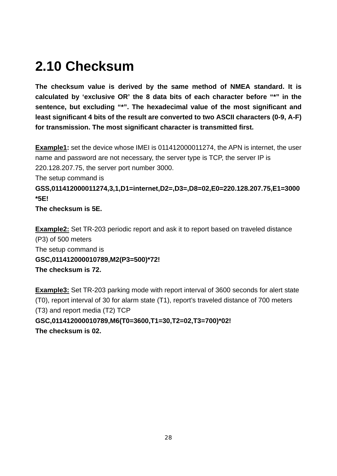# <span id="page-28-0"></span>**2.10 Checksum**

**The checksum value is derived by the same method of NMEA standard. It is calculated by 'exclusive OR' the 8 data bits of each character before "\*" in the sentence, but excluding "\*". The hexadecimal value of the most significant and least significant 4 bits of the result are converted to two ASCII characters (0-9, A-F) for transmission. The most significant character is transmitted first.** 

**Example1:** set the device whose IMEI is 011412000011274, the APN is internet, the user name and password are not necessary, the server type is TCP, the server IP is 220.128.207.75, the server port number 3000.

The setup command is

**GSS,011412000011274,3,1,D1=internet,D2=,D3=,D8=02,E0=220.128.207.75,E1=3000 \*5E!** 

**The checksum is 5E.** 

**Example2:** Set TR-203 periodic report and ask it to report based on traveled distance (P3) of 500 meters The setup command is **GSC,011412000010789,M2(P3=500)\*72! The checksum is 72.** 

**Example3:** Set TR-203 parking mode with report interval of 3600 seconds for alert state (T0), report interval of 30 for alarm state (T1), report's traveled distance of 700 meters (T3) and report media (T2) TCP **GSC,011412000010789,M6(T0=3600,T1=30,T2=02,T3=700)\*02! The checksum is 02.**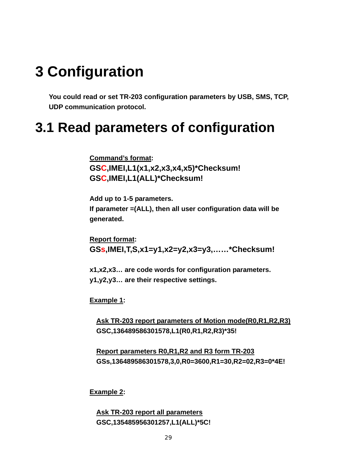# <span id="page-29-0"></span>**3 Configuration**

**You could read or set TR-203 configuration parameters by USB, SMS, TCP, UDP communication protocol.** 

## **3.1 Read parameters of configuration**

**Command's format: GSC,IMEI,L1(x1,x2,x3,x4,x5)\*Checksum! GSC,IMEI,L1(ALL)\*Checksum!** 

**Add up to 1-5 parameters. If parameter =(ALL), then all user configuration data will be generated.** 

**Report format: GSs,IMEI,T,S,x1=y1,x2=y2,x3=y3,……\*Checksum!** 

**x1,x2,x3… are code words for configuration parameters. y1,y2,y3… are their respective settings.** 

**Example 1:** 

**Ask TR-203 report parameters of Motion mode(R0,R1,R2,R3) GSC,136489586301578,L1(R0,R1,R2,R3)\*35!** 

**Report parameters R0,R1,R2 and R3 form TR-203 GSs,136489586301578,3,0,R0=3600,R1=30,R2=02,R3=0\*4E!** 

**Example 2:** 

**Ask TR-203 report all parameters GSC,135485956301257,L1(ALL)\*5C!**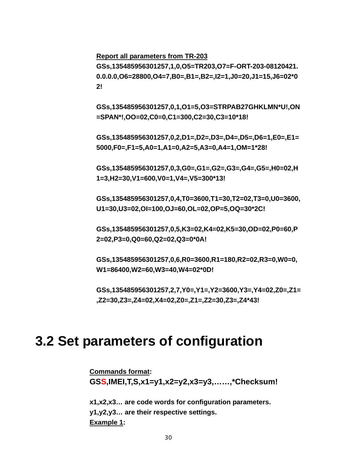<span id="page-30-0"></span>**Report all parameters from TR-203**

**GSs,135485956301257,1,0,O5=TR203,O7=F-ORT-203-08120421. 0.0.0.0,O6=28800,O4=7,B0=,B1=,B2=,I2=1,J0=20,J1=15,J6=02\*0 2!** 

**GSs,135485956301257,0,1,O1=5,O3=STRPAB27GHKLMN\*U!,ON =SPAN\*!,OO=02,C0=0,C1=300,C2=30,C3=10\*18!** 

**GSs,135485956301257,0,2,D1=,D2=,D3=,D4=,D5=,D6=1,E0=,E1= 5000,F0=,F1=5,A0=1,A1=0,A2=5,A3=0,A4=1,OM=1\*28!** 

**GSs,135485956301257,0,3,G0=,G1=,G2=,G3=,G4=,G5=,H0=02,H 1=3,H2=30,V1=600,V0=1,V4=,V5=300\*13!** 

**GSs,135485956301257,0,4,T0=3600,T1=30,T2=02,T3=0,U0=3600, U1=30,U3=02,OI=100,OJ=60,OL=02,OP=5,OQ=30\*2C!** 

**GSs,135485956301257,0,5,K3=02,K4=02,K5=30,OD=02,P0=60,P 2=02,P3=0,Q0=60,Q2=02,Q3=0\*0A!** 

**GSs,135485956301257,0,6,R0=3600,R1=180,R2=02,R3=0,W0=0, W1=86400,W2=60,W3=40,W4=02\*0D!** 

**GSs,135485956301257,2,7,Y0=,Y1=,Y2=3600,Y3=,Y4=02,Z0=,Z1= ,Z2=30,Z3=,Z4=02,X4=02,Z0=,Z1=,Z2=30,Z3=,Z4\*43!** 

### **3.2 Set parameters of configuration**

**Commands format: GSS,IMEI,T,S,x1=y1,x2=y2,x3=y3,……,\*Checksum!** 

**x1,x2,x3… are code words for configuration parameters. y1,y2,y3… are their respective settings. Example 1:**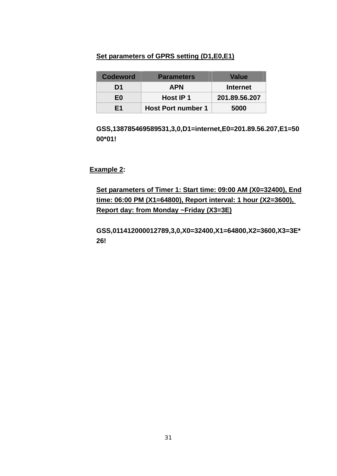#### **Set parameters of GPRS setting (D1,E0,E1)**

| <b>Codeword</b> | <b>Parameters</b>         | <b>Value</b>    |
|-----------------|---------------------------|-----------------|
| D1              | <b>APN</b>                | <b>Internet</b> |
| E <sub>0</sub>  | Host IP 1                 | 201.89.56.207   |
| F1              | <b>Host Port number 1</b> | 5000            |

**GSS,138785469589531,3,0,D1=internet,E0=201.89.56.207,E1=50 00\*01!** 

**Example 2:** 

**Set parameters of Timer 1: Start time: 09:00 AM (X0=32400), End time: 06:00 PM (X1=64800), Report interval: 1 hour (X2=3600), Report day: from Monday ~Friday (X3=3E)**

**GSS,011412000012789,3,0,X0=32400,X1=64800,X2=3600,X3=3E\* 26!**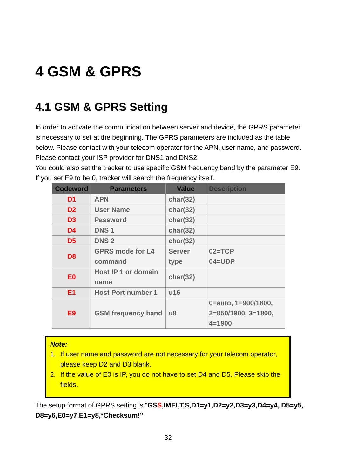# <span id="page-32-0"></span>**4 GSM & GPRS**

## **4.1 GSM & GPRS Setting**

In order to activate the communication between server and device, the GPRS parameter is necessary to set at the beginning. The GPRS parameters are included as the table below. Please contact with your telecom operator for the APN, user name, and password. Please contact your ISP provider for DNS1 and DNS2.

You could also set the tracker to use specific GSM frequency band by the parameter E9. If you set E9 to be 0, tracker will search the frequency itself.

| <b>Codeword</b> | <b>Parameters</b>                  | <b>Value</b>           | <b>Description</b>    |
|-----------------|------------------------------------|------------------------|-----------------------|
| D <sub>1</sub>  | <b>APN</b>                         | char(32)               |                       |
| D <sub>2</sub>  | <b>User Name</b>                   | char(32)               |                       |
| D <sub>3</sub>  | <b>Password</b>                    | char(32)               |                       |
| D <sub>4</sub>  | <b>DNS1</b>                        | char(32)               |                       |
| D <sub>5</sub>  | <b>DNS2</b>                        | char(32)               |                       |
| D <sub>8</sub>  | <b>GPRS mode for L4</b>            | <b>Server</b>          | $02 = TCP$            |
|                 | command                            | type                   | $04 = UDP$            |
| E <sub>0</sub>  | <b>Host IP 1 or domain</b><br>name | char(32)               |                       |
| E <sub>1</sub>  | <b>Host Port number 1</b>          | u16                    |                       |
|                 | <b>GSM</b> frequency band          |                        | 0=auto, 1=900/1800,   |
| E <sub>9</sub>  |                                    | $\mathsf{u}\mathsf{8}$ | $2=850/1900, 3=1800,$ |
|                 |                                    |                        | $4 = 1900$            |

#### *Note:*

- 1. If user name and password are not necessary for your telecom operator, please keep D2 and D3 blank.
- 2. If the value of E0 is IP, you do not have to set D4 and D5. Please skip the fields.

The setup format of GPRS setting is "**GSS,IMEI,T,S,D1=y1,D2=y2,D3=y3,D4=y4, D5=y5, D8=y6,E0=y7,E1=y8,\*Checksum!"**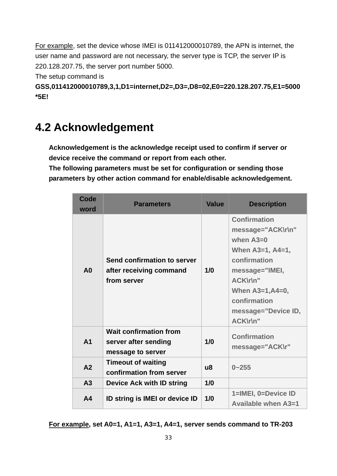<span id="page-33-0"></span>For example, set the device whose IMEI is 011412000010789, the APN is internet, the user name and password are not necessary, the server type is TCP, the server IP is 220.128.207.75, the server port number 5000.

The setup command is

**GSS,011412000010789,3,1,D1=internet,D2=,D3=,D8=02,E0=220.128.207.75,E1=5000 \*5E!** 

### **4.2 Acknowledgement**

**Acknowledgement is the acknowledge receipt used to confirm if server or device receive the command or report from each other.** 

**The following parameters must be set for configuration or sending those parameters by other action command for enable/disable acknowledgement.** 

| Code<br>word   | <b>Parameters</b>                                                          | <b>Value</b> | <b>Description</b>                                                                                                                                                                                                 |
|----------------|----------------------------------------------------------------------------|--------------|--------------------------------------------------------------------------------------------------------------------------------------------------------------------------------------------------------------------|
| A <sub>0</sub> | Send confirmation to server<br>after receiving command<br>from server      | 1/0          | <b>Confirmation</b><br>message="ACK\r\n"<br>when $A3=0$<br>When $A3=1, A4=1,$<br>confirmation<br>message="IMEI,<br><b>ACK\r\n"</b><br>When $A3=1, A4=0,$<br>confirmation<br>message="Device ID,<br><b>ACK\r\n"</b> |
| A <sub>1</sub> | <b>Wait confirmation from</b><br>server after sending<br>message to server | 1/0          | <b>Confirmation</b><br>message="ACK\r"                                                                                                                                                                             |
| A2             | <b>Timeout of waiting</b><br>confirmation from server                      | u8           | $0 - 255$                                                                                                                                                                                                          |
| A3             | <b>Device Ack with ID string</b>                                           | 1/0          |                                                                                                                                                                                                                    |
| A <sub>4</sub> | ID string is IMEI or device ID                                             | 1/0          | 1=IMEI, 0=Device ID<br>Available when A3=1                                                                                                                                                                         |

**For example, set A0=1, A1=1, A3=1, A4=1, server sends command to TR-203**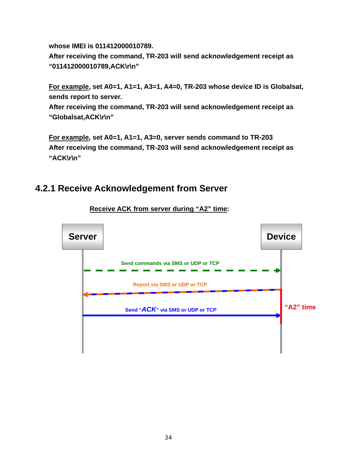<span id="page-34-0"></span>**whose IMEI is 011412000010789.** 

**After receiving the command, TR-203 will send acknowledgement receipt as "011412000010789,ACK\r\n"** 

**For example, set A0=1, A1=1, A3=1, A4=0, TR-203 whose device ID is Globalsat, sends report to server.** 

**After receiving the command, TR-203 will send acknowledgement receipt as "Globalsat,ACK\r\n"** 

**For example, set A0=1, A1=1, A3=0, server sends command to TR-203 After receiving the command, TR-203 will send acknowledgement receipt as "ACK\r\n"** 

#### **4.2.1 Receive Acknowledgement from Server**



**Receive ACK from server during "A2" time:**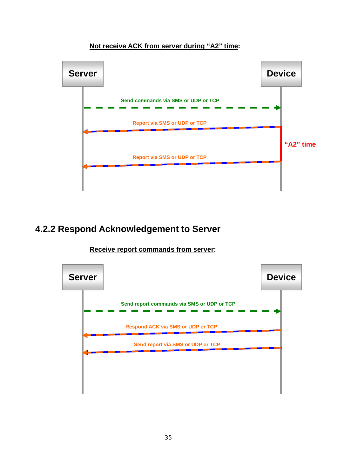#### **Not receive ACK from server during "A2" time:**

<span id="page-35-0"></span>

#### **4.2.2 Respond Acknowledgement to Server**



**Receive report commands from server:**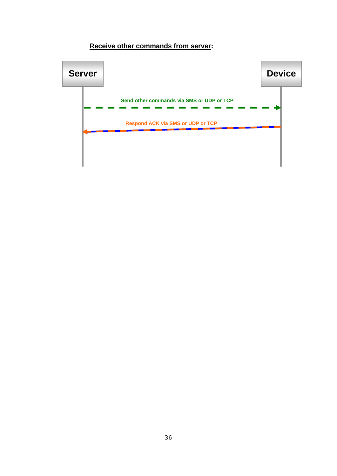### **Receive other commands from server:**

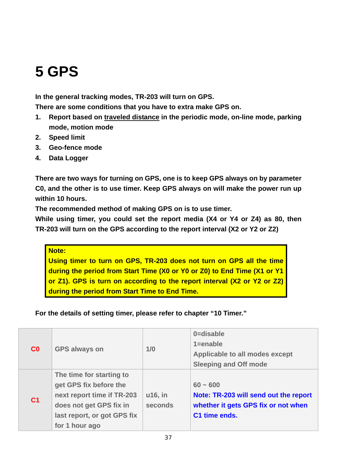# **5 GPS**

**In the general tracking modes, TR-203 will turn on GPS.** 

**There are some conditions that you have to extra make GPS on.** 

- **1. Report based on traveled distance in the periodic mode, on-line mode, parking mode, motion mode**
- **2. Speed limit**
- **3. Geo-fence mode**
- **4. Data Logger**

**There are two ways for turning on GPS, one is to keep GPS always on by parameter C0, and the other is to use timer. Keep GPS always on will make the power run up within 10 hours.** 

**The recommended method of making GPS on is to use timer.** 

**While using timer, you could set the report media (X4 or Y4 or Z4) as 80, then TR-203 will turn on the GPS according to the report interval (X2 or Y2 or Z2)** 

#### **Note:**

**Using timer to turn on GPS, TR-203 does not turn on GPS all the time during the period from Start Time (X0 or Y0 or Z0) to End Time (X1 or Y1 or Z1). GPS is turn on according to the report interval (X2 or Y2 or Z2) during the period from Start Time to End Time.** 

### **For the details of setting timer, please refer to chapter "10 Timer."**

|                | <b>GPS always on</b>        | 1/0     | 0=disable                             |
|----------------|-----------------------------|---------|---------------------------------------|
|                |                             |         | $1 =$ enable                          |
| C <sub>0</sub> |                             |         | Applicable to all modes except        |
|                |                             |         | <b>Sleeping and Off mode</b>          |
|                | The time for starting to    |         |                                       |
|                | get GPS fix before the      |         | $60 - 600$                            |
| C <sub>1</sub> | next report time if TR-203  | u16, in | Note: TR-203 will send out the report |
|                | does not get GPS fix in     | seconds | whether it gets GPS fix or not when   |
|                | last report, or got GPS fix |         | C1 time ends.                         |
|                | for 1 hour ago              |         |                                       |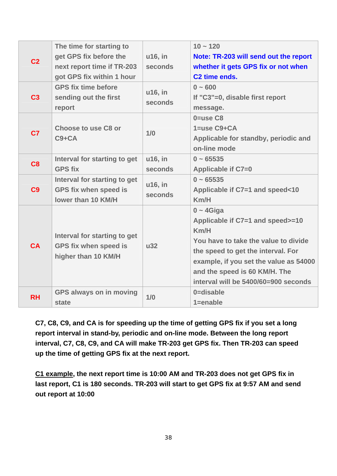| C <sub>2</sub> | The time for starting to<br>get GPS fix before the<br>next report time if TR-203<br>got GPS fix within 1 hour | u16, in<br>seconds | $10 - 120$<br>Note: TR-203 will send out the report<br>whether it gets GPS fix or not when<br>C <sub>2</sub> time ends.                                                                                                                                   |
|----------------|---------------------------------------------------------------------------------------------------------------|--------------------|-----------------------------------------------------------------------------------------------------------------------------------------------------------------------------------------------------------------------------------------------------------|
| C <sub>3</sub> | <b>GPS fix time before</b><br>sending out the first<br>report                                                 | u16, in<br>seconds | $0 - 600$<br>If "C3"=0, disable first report<br>message.                                                                                                                                                                                                  |
| C <sub>7</sub> | <b>Choose to use C8 or</b><br>$C9 + CA$                                                                       | 1/0                | $0 =$ use $C8$<br>$1 = use C9 + CA$<br>Applicable for standby, periodic and<br>on-line mode                                                                                                                                                               |
| C <sub>8</sub> | Interval for starting to get<br><b>GPS fix</b>                                                                | u16, in<br>seconds | $0 - 65535$<br>Applicable if C7=0                                                                                                                                                                                                                         |
| C9             | Interval for starting to get<br><b>GPS fix when speed is</b><br>lower than 10 KM/H                            | u16, in<br>seconds | $0 - 65535$<br>Applicable if C7=1 and speed<10<br>Km/H                                                                                                                                                                                                    |
| <b>CA</b>      | Interval for starting to get<br><b>GPS fix when speed is</b><br>higher than 10 KM/H                           | $u32$              | $0 - 4$ Giga<br>Applicable if C7=1 and speed>=10<br>Km/H<br>You have to take the value to divide<br>the speed to get the interval. For<br>example, if you set the value as 54000<br>and the speed is 60 KM/H. The<br>interval will be 5400/60=900 seconds |
| <b>RH</b>      | <b>GPS always on in moving</b><br>state                                                                       | 1/0                | 0=disable<br>$1 =$ enable                                                                                                                                                                                                                                 |

**C7, C8, C9, and CA is for speeding up the time of getting GPS fix if you set a long report interval in stand-by, periodic and on-line mode. Between the long report interval, C7, C8, C9, and CA will make TR-203 get GPS fix. Then TR-203 can speed up the time of getting GPS fix at the next report.** 

**C1 example, the next report time is 10:00 AM and TR-203 does not get GPS fix in last report, C1 is 180 seconds. TR-203 will start to get GPS fix at 9:57 AM and send out report at 10:00**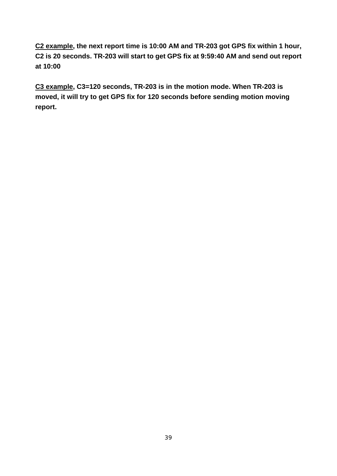**C2 example, the next report time is 10:00 AM and TR-203 got GPS fix within 1 hour, C2 is 20 seconds. TR-203 will start to get GPS fix at 9:59:40 AM and send out report at 10:00**

**C3 example, C3=120 seconds, TR-203 is in the motion mode. When TR-203 is moved, it will try to get GPS fix for 120 seconds before sending motion moving report.**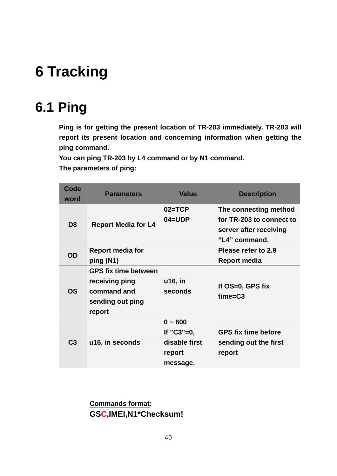# **6 Tracking**

# **6.1 Ping**

**Ping is for getting the present location of TR-203 immediately. TR-203 will report its present location and concerning information when getting the ping command.** 

**You can ping TR-203 by L4 command or by N1 command. The parameters of ping:** 

| Code<br>word   | <b>Parameters</b>                                                                          | <b>Value</b>                                                        | <b>Description</b>                                                                           |
|----------------|--------------------------------------------------------------------------------------------|---------------------------------------------------------------------|----------------------------------------------------------------------------------------------|
| D <sub>8</sub> | <b>Report Media for L4</b>                                                                 | $02 = TCP$<br>$04 = UDP$                                            | The connecting method<br>for TR-203 to connect to<br>server after receiving<br>"L4" command. |
| <b>OD</b>      | <b>Report media for</b><br>ping (N1)                                                       |                                                                     | Please refer to 2.9<br><b>Report media</b>                                                   |
| <b>OS</b>      | <b>GPS fix time between</b><br>receiving ping<br>command and<br>sending out ping<br>report | u16, in<br>seconds                                                  | If OS=0, GPS fix<br>$time = C3$                                                              |
| C <sub>3</sub> | u16, in seconds                                                                            | $0 - 600$<br>If $"C3" = 0$ ,<br>disable first<br>report<br>message. | <b>GPS fix time before</b><br>sending out the first<br>report                                |

**Commands format: GSC,IMEI,N1\*Checksum!**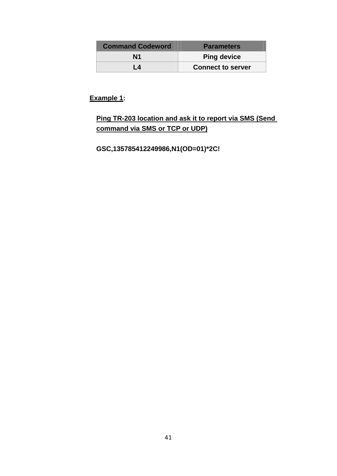| <b>Command Codeword</b> | <b>Parameters</b>        |
|-------------------------|--------------------------|
| N <sub>1</sub>          | <b>Ping device</b>       |
| 1 4                     | <b>Connect to server</b> |

## **Ping TR-203 location and ask it to report via SMS (Send command via SMS or TCP or UDP)**

**GSC,135785412249986,N1(OD=01)\*2C!**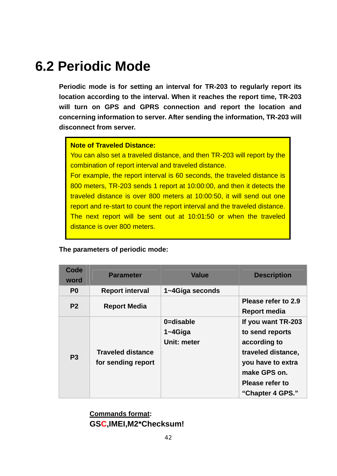# **6.2 Periodic Mode**

**Periodic mode is for setting an interval for TR-203 to regularly report its location according to the interval. When it reaches the report time, TR-203 will turn on GPS and GPRS connection and report the location and concerning information to server. After sending the information, TR-203 will disconnect from server.** 

#### **Note of Traveled Distance:**

You can also set a traveled distance, and then TR-203 will report by the combination of report interval and traveled distance.

For example, the report interval is 60 seconds, the traveled distance is 800 meters, TR-203 sends 1 report at 10:00:00, and then it detects the traveled distance is over 800 meters at 10:00:50, it will send out one report and re-start to count the report interval and the traveled distance. The next report will be sent out at 10:01:50 or when the traveled distance is over 800 meters.

#### **The parameters of periodic mode:**

| Code<br>word   | <b>Parameter</b>                               | <b>Value</b>                             | <b>Description</b>                                                                                                                                      |
|----------------|------------------------------------------------|------------------------------------------|---------------------------------------------------------------------------------------------------------------------------------------------------------|
| P <sub>0</sub> | <b>Report interval</b>                         | 1~4Giga seconds                          |                                                                                                                                                         |
| P <sub>2</sub> | <b>Report Media</b>                            |                                          | Please refer to 2.9<br><b>Report media</b>                                                                                                              |
| P <sub>3</sub> | <b>Traveled distance</b><br>for sending report | 0=disable<br>$1 - 4$ Giga<br>Unit: meter | If you want TR-203<br>to send reports<br>according to<br>traveled distance,<br>you have to extra<br>make GPS on.<br>Please refer to<br>"Chapter 4 GPS." |

**Commands format: GSC,IMEI,M2\*Checksum!**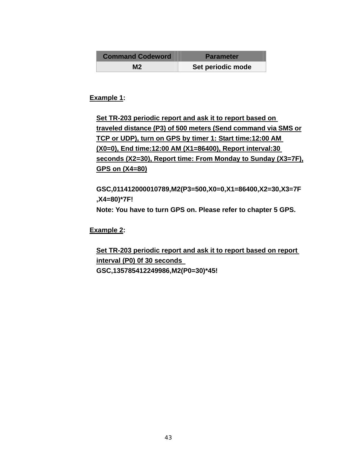| <b>Command Codeword</b> | <b>Parameter</b>  |  |
|-------------------------|-------------------|--|
| М2                      | Set periodic mode |  |

**Set TR-203 periodic report and ask it to report based on traveled distance (P3) of 500 meters (Send command via SMS or TCP or UDP), turn on GPS by timer 1: Start time:12:00 AM (X0=0), End time:12:00 AM (X1=86400), Report interval:30 seconds (X2=30), Report time: From Monday to Sunday (X3=7F), GPS on (X4=80)**

**GSC,011412000010789,M2(P3=500,X0=0,X1=86400,X2=30,X3=7F ,X4=80)\*7F! Note: You have to turn GPS on. Please refer to chapter 5 GPS.** 

**Example 2:** 

**Set TR-203 periodic report and ask it to report based on report interval (P0) 0f 30 seconds GSC,135785412249986,M2(P0=30)\*45!**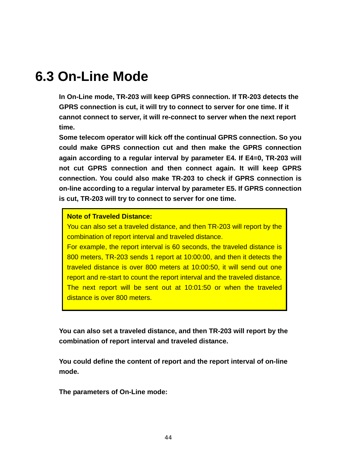# **6.3 On-Line Mode**

**In On-Line mode, TR-203 will keep GPRS connection. If TR-203 detects the GPRS connection is cut, it will try to connect to server for one time. If it cannot connect to server, it will re-connect to server when the next report time.** 

**Some telecom operator will kick off the continual GPRS connection. So you could make GPRS connection cut and then make the GPRS connection again according to a regular interval by parameter E4. If E4=0, TR-203 will not cut GPRS connection and then connect again. It will keep GPRS connection. You could also make TR-203 to check if GPRS connection is on-line according to a regular interval by parameter E5. If GPRS connection is cut, TR-203 will try to connect to server for one time.** 

#### **Note of Traveled Distance:**

You can also set a traveled distance, and then TR-203 will report by the combination of report interval and traveled distance.

For example, the report interval is 60 seconds, the traveled distance is 800 meters, TR-203 sends 1 report at 10:00:00, and then it detects the traveled distance is over 800 meters at 10:00:50, it will send out one report and re-start to count the report interval and the traveled distance. The next report will be sent out at 10:01:50 or when the traveled distance is over 800 meters.

**You can also set a traveled distance, and then TR-203 will report by the combination of report interval and traveled distance.** 

**You could define the content of report and the report interval of on-line mode.** 

**The parameters of On-Line mode:**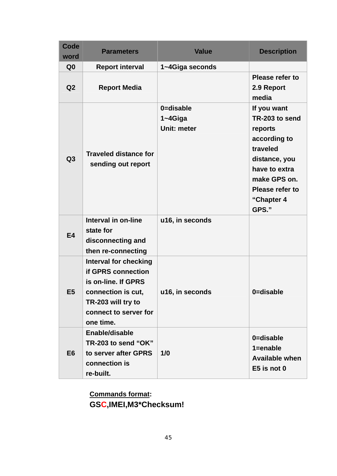| <b>Code</b><br>word | <b>Parameters</b>                                                                                                                                                  | <b>Value</b>                             | <b>Description</b>                                                                                                                                               |
|---------------------|--------------------------------------------------------------------------------------------------------------------------------------------------------------------|------------------------------------------|------------------------------------------------------------------------------------------------------------------------------------------------------------------|
| Q <sub>0</sub>      | <b>Report interval</b>                                                                                                                                             | 1~4Giga seconds                          |                                                                                                                                                                  |
| Q <sub>2</sub>      | <b>Report Media</b>                                                                                                                                                |                                          | Please refer to<br>2.9 Report<br>media                                                                                                                           |
| Q3                  | <b>Traveled distance for</b><br>sending out report                                                                                                                 | 0=disable<br>$1 - 4$ Giga<br>Unit: meter | If you want<br>TR-203 to send<br>reports<br>according to<br>traveled<br>distance, you<br>have to extra<br>make GPS on.<br>Please refer to<br>"Chapter 4<br>GPS." |
| <b>E4</b>           | Interval in on-line<br>state for<br>disconnecting and<br>then re-connecting                                                                                        | u16, in seconds                          |                                                                                                                                                                  |
| E <sub>5</sub>      | <b>Interval for checking</b><br><b>if GPRS connection</b><br>is on-line. If GPRS<br>connection is cut,<br>TR-203 will try to<br>connect to server for<br>one time. | u16, in seconds                          | 0=disable                                                                                                                                                        |
| E <sub>6</sub>      | Enable/disable<br>TR-203 to send "OK"<br>to server after GPRS<br>connection is<br>re-built.                                                                        | 1/0                                      | 0=disable<br>$1 =$ enable<br><b>Available when</b><br>$E5$ is not 0                                                                                              |

**Commands format: GSC,IMEI,M3\*Checksum!**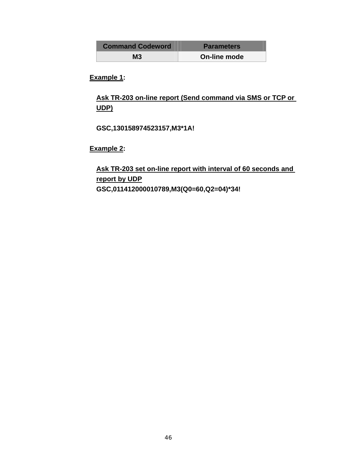| <b>Command Codeword</b> | <b>Parameters</b> |
|-------------------------|-------------------|
| М3                      | On-line mode      |

**Ask TR-203 on-line report (Send command via SMS or TCP or UDP)**

**GSC,130158974523157,M3\*1A!** 

**Example 2:** 

**Ask TR-203 set on-line report with interval of 60 seconds and report by UDP GSC,011412000010789,M3(Q0=60,Q2=04)\*34!**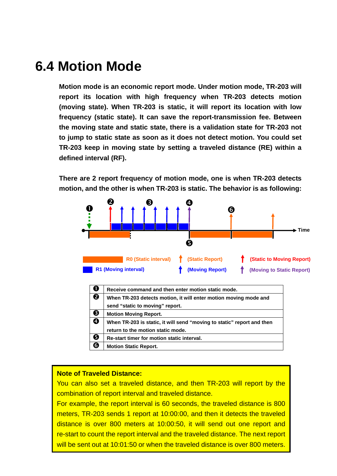# **6.4 Motion Mode**

**Motion mode is an economic report mode. Under motion mode, TR-203 will report its location with high frequency when TR-203 detects motion (moving state). When TR-203 is static, it will report its location with low frequency (static state). It can save the report-transmission fee. Between the moving state and static state, there is a validation state for TR-203 not to jump to static state as soon as it does not detect motion. You could set TR-203 keep in moving state by setting a traveled distance (RE) within a defined interval (RF).** 

**There are 2 report frequency of motion mode, one is when TR-203 detects motion, and the other is when TR-203 is static. The behavior is as following:** 



| O | Receive command and then enter motion static mode.                     |
|---|------------------------------------------------------------------------|
| ❷ | When TR-203 detects motion, it will enter motion moving mode and       |
|   | send "static to moving" report.                                        |
| ❸ | <b>Motion Moving Report.</b>                                           |
| ❹ | When TR-203 is static, it will send "moving to static" report and then |
|   | return to the motion static mode.                                      |
| ❺ | Re-start timer for motion static interval.                             |
| ❻ | <b>Motion Static Report.</b>                                           |

#### **Note of Traveled Distance:**

You can also set a traveled distance, and then TR-203 will report by the combination of report interval and traveled distance.

re-start to count the report interval and the traveled distance. The next report For example, the report interval is 60 seconds, the traveled distance is 800 meters, TR-203 sends 1 report at 10:00:00, and then it detects the traveled distance is over 800 meters at 10:00:50, it will send out one report and will be sent out at 10:01:50 or when the traveled distance is over 800 meters.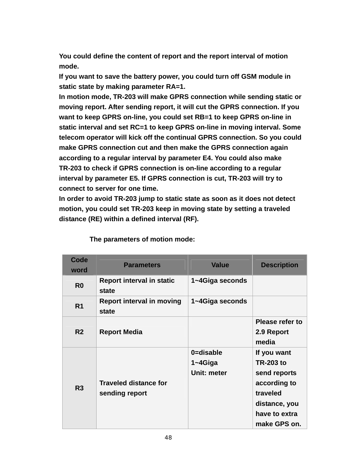**You could define the content of report and the report interval of motion mode.** 

**If you want to save the battery power, you could turn off GSM module in static state by making parameter RA=1.** 

**In motion mode, TR-203 will make GPRS connection while sending static or moving report. After sending report, it will cut the GPRS connection. If you want to keep GPRS on-line, you could set RB=1 to keep GPRS on-line in static interval and set RC=1 to keep GPRS on-line in moving interval. Some telecom operator will kick off the continual GPRS connection. So you could make GPRS connection cut and then make the GPRS connection again according to a regular interval by parameter E4. You could also make TR-203 to check if GPRS connection is on-line according to a regular interval by parameter E5. If GPRS connection is cut, TR-203 will try to connect to server for one time.** 

**In order to avoid TR-203 jump to static state as soon as it does not detect motion, you could set TR-203 keep in moving state by setting a traveled distance (RE) within a defined interval (RF).** 

| Code<br>word   | <b>Parameters</b>                              | <b>Value</b>                             | <b>Description</b>                                                                                                            |
|----------------|------------------------------------------------|------------------------------------------|-------------------------------------------------------------------------------------------------------------------------------|
| R <sub>0</sub> | <b>Report interval in static</b><br>state      | 1~4Giga seconds                          |                                                                                                                               |
| R <sub>1</sub> | <b>Report interval in moving</b><br>state      | 1~4Giga seconds                          |                                                                                                                               |
| R <sub>2</sub> | <b>Report Media</b>                            |                                          | Please refer to<br>2.9 Report<br>media                                                                                        |
| R3             | <b>Traveled distance for</b><br>sending report | 0=disable<br>$1 - 4$ Giga<br>Unit: meter | If you want<br><b>TR-203 to</b><br>send reports<br>according to<br>traveled<br>distance, you<br>have to extra<br>make GPS on. |

**The parameters of motion mode:**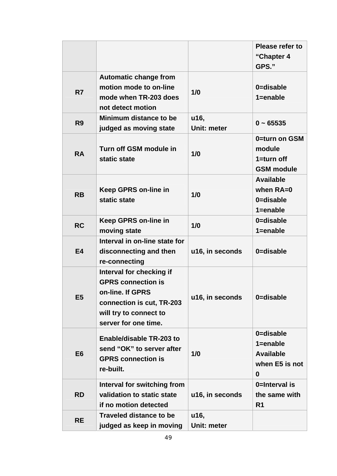|                |                                                                                                                                                          |                     | <b>Please refer to</b><br>"Chapter 4<br>GPS."                        |
|----------------|----------------------------------------------------------------------------------------------------------------------------------------------------------|---------------------|----------------------------------------------------------------------|
| R7             | <b>Automatic change from</b><br>motion mode to on-line<br>mode when TR-203 does<br>not detect motion                                                     | 1/0                 | 0=disable<br>$1 =$ enable                                            |
| R <sub>9</sub> | Minimum distance to be<br>judged as moving state                                                                                                         | u16,<br>Unit: meter | $0 - 65535$                                                          |
| <b>RA</b>      | Turn off GSM module in<br>static state                                                                                                                   | 1/0                 | 0=turn on GSM<br>module<br>$1 = turn$ off<br><b>GSM</b> module       |
| <b>RB</b>      | <b>Keep GPRS on-line in</b><br>static state                                                                                                              | 1/0                 | <b>Available</b><br>when $RA=0$<br>0=disable<br>$1 =$ enable         |
| <b>RC</b>      | <b>Keep GPRS on-line in</b><br>moving state                                                                                                              | 1/0                 | 0=disable<br>$1 =$ enable                                            |
| <b>E4</b>      | Interval in on-line state for<br>disconnecting and then<br>re-connecting                                                                                 | u16, in seconds     | 0=disable                                                            |
| E <sub>5</sub> | Interval for checking if<br><b>GPRS connection is</b><br>on-line. If GPRS<br>connection is cut, TR-203<br>will try to connect to<br>server for one time. | u16, in seconds     | 0=disable                                                            |
| E <sub>6</sub> | <b>Enable/disable TR-203 to</b><br>send "OK" to server after<br><b>GPRS connection is</b><br>re-built.                                                   | 1/0                 | 0=disable<br>$1 =$ enable<br><b>Available</b><br>when E5 is not<br>0 |
| <b>RD</b>      | Interval for switching from<br>validation to static state<br>if no motion detected                                                                       | u16, in seconds     | 0=Interval is<br>the same with<br>R <sub>1</sub>                     |
| <b>RE</b>      | <b>Traveled distance to be</b><br>judged as keep in moving                                                                                               | u16,<br>Unit: meter |                                                                      |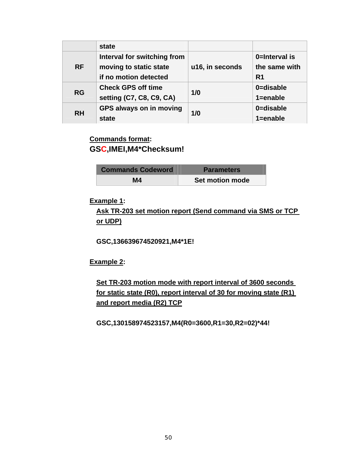|           | state                       |                 |                |
|-----------|-----------------------------|-----------------|----------------|
|           | Interval for switching from |                 | 0=Interval is  |
| <b>RF</b> | moving to static state      | u16, in seconds | the same with  |
|           | if no motion detected       |                 | R <sub>1</sub> |
|           | <b>Check GPS off time</b>   |                 | 0=disable      |
| <b>RG</b> | setting (C7, C8, C9, CA)    | 1/0             | $1 =$ enable   |
| <b>RH</b> | GPS always on in moving     |                 | 0=disable      |
|           | state                       | 1/0             | $1 =$ enable   |

## **Commands format: GSC,IMEI,M4\*Checksum!**

| <b>Commands Codeword</b> | <b>Parameters</b> |
|--------------------------|-------------------|
| Μ4                       | Set motion mode   |

### **Example 1:**

**Ask TR-203 set motion report (Send command via SMS or TCP or UDP)**

**GSC,136639674520921,M4\*1E!** 

**Example 2:** 

**Set TR-203 motion mode with report interval of 3600 seconds for static state (R0), report interval of 30 for moving state (R1) and report media (R2) TCP**

**GSC,130158974523157,M4(R0=3600,R1=30,R2=02)\*44!**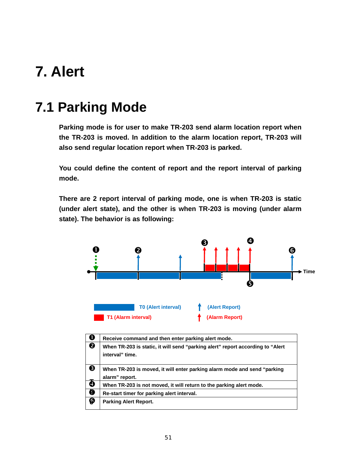# **7. Alert**

# **7.1 Parking Mode**

**Parking mode is for user to make TR-203 send alarm location report when the TR-203 is moved. In addition to the alarm location report, TR-203 will also send regular location report when TR-203 is parked.** 

**You could define the content of report and the report interval of parking mode.** 

**There are 2 report interval of parking mode, one is when TR-203 is static (under alert state), and the other is when TR-203 is moving (under alarm state). The behavior is as following:** 



| $\mathbf 0$           | Receive command and then enter parking alert mode.                              |
|-----------------------|---------------------------------------------------------------------------------|
| $\boldsymbol{\Theta}$ | When TR-203 is static, it will send "parking alert" report according to "Alert" |
|                       | interval" time.                                                                 |
|                       |                                                                                 |
| ❸                     | When TR-203 is moved, it will enter parking alarm mode and send "parking        |
|                       | alarm" report.                                                                  |
| ❹                     | When TR-203 is not moved, it will return to the parking alert mode.             |
| $\bullet$             | Re-start timer for parking alert interval.                                      |
| €                     | <b>Parking Alert Report.</b>                                                    |
|                       |                                                                                 |
|                       |                                                                                 |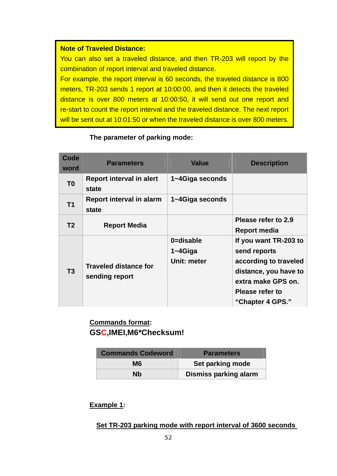#### **Note of Traveled Distance:**

You can also set a traveled distance, and then TR-203 will report by the combination of report interval and traveled distance.

For example, the report interval is 60 seconds, the traveled distance is 800 meters, TR-203 sends 1 report at 10:00:00, and then it detects the traveled distance is over 800 meters at 10:00:50, it will send out one report and re-start to count the report interval and the traveled distance. The next report will be sent out at 10:01:50 or when the traveled distance is over 800 meters.

#### **Code word Parameters Value Description T0 Report interval in alert state 1~4Giga seconds T1 Report interval in alarm state 1~4Giga seconds T2 Report Media Please refer to 2.9 Report media T3 Traveled distance for sending report 0=disable 1~4Giga Unit: meter If you want TR-203 to send reports according to traveled distance, you have to extra make GPS on. Please refer to "Chapter 4 GPS."**

#### **The parameter of parking mode:**

### **Commands format: GSC,IMEI,M6\*Checksum!**

| <b>Commands Codeword</b> | <b>Parameters</b>            |
|--------------------------|------------------------------|
| M6                       | Set parking mode             |
| Nb                       | <b>Dismiss parking alarm</b> |

### **Example 1:**

**Set TR-203 parking mode with report interval of 3600 seconds**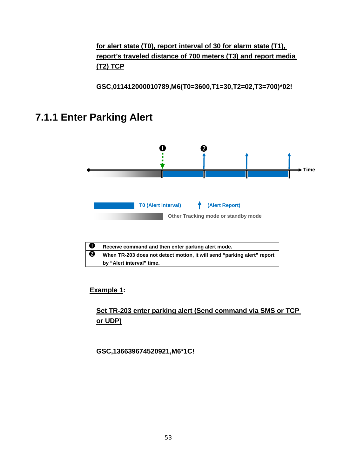## **for alert state (T0), report interval of 30 for alarm state (T1), report's traveled distance of 700 meters (T3) and report media (T2) TCP**

**GSC,011412000010789,M6(T0=3600,T1=30,T2=02,T3=700)\*02!** 

# **7.1.1 Enter Parking Alert**



#### **Example 1:**

## **Set TR-203 enter parking alert (Send command via SMS or TCP or UDP)**

**GSC,136639674520921,M6\*1C!**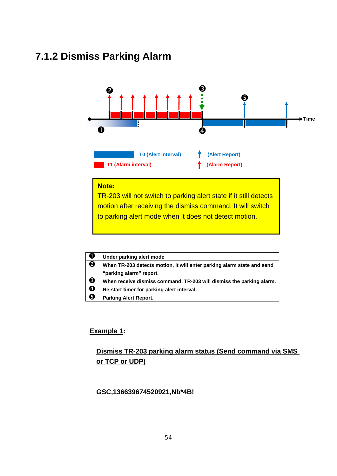# **7.1.2 Dismiss Parking Alarm**



#### **Note:**

TR-203 will not switch to parking alert state if it still detects motion after receiving the dismiss command. It will switch to parking alert mode when it does not detect motion.

| $\mathbf 0$ | Under parking alert mode                                               |
|-------------|------------------------------------------------------------------------|
| ❷           | When TR-203 detects motion, it will enter parking alarm state and send |
|             | "parking alarm" report.                                                |
| ❸           | When receive dismiss command, TR-203 will dismiss the parking alarm.   |
| ❹           | Re-start timer for parking alert interval.                             |
| ❺           | <b>Parking Alert Report.</b>                                           |

#### **Example 1:**

## **Dismiss TR-203 parking alarm status (Send command via SMS or TCP or UDP)**

#### **GSC,136639674520921,Nb\*4B!**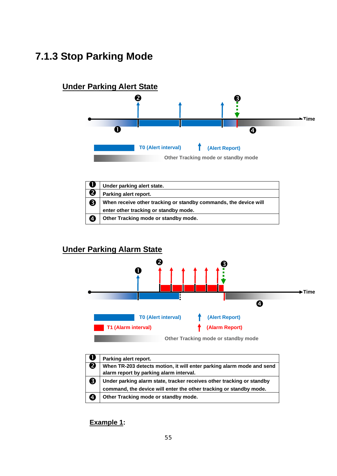# **7.1.3 Stop Parking Mode**



|   | Under parking alert state.                                       |  |
|---|------------------------------------------------------------------|--|
| 2 | Parking alert report.                                            |  |
| 8 | When receive other tracking or standby commands, the device will |  |
|   | enter other tracking or standby mode.                            |  |
| Ø | Other Tracking mode or standby mode.                             |  |

## **Under Parking Alarm State**



|   | Parking alert report.                                                 |
|---|-----------------------------------------------------------------------|
|   | When TR-203 detects motion, it will enter parking alarm mode and send |
|   | alarm report by parking alarm interval.                               |
| 3 | Under parking alarm state, tracker receives other tracking or standby |
|   | command, the device will enter the other tracking or standby mode.    |
| Đ | Other Tracking mode or standby mode.                                  |

**Example 1:**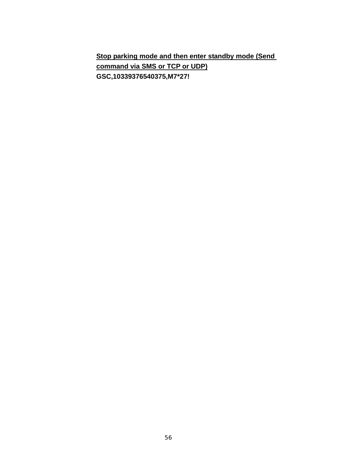**Stop parking mode and then enter standby mode (Send command via SMS or TCP or UDP) GSC,10339376540375,M7\*27!**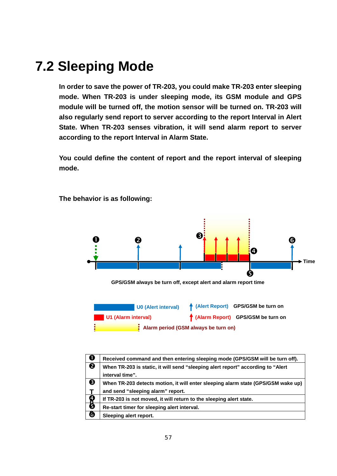# **7.2 Sleeping Mode**

**In order to save the power of TR-203, you could make TR-203 enter sleeping mode. When TR-203 is under sleeping mode, its GSM module and GPS module will be turned off, the motion sensor will be turned on. TR-203 will also regularly send report to server according to the report Interval in Alert State. When TR-203 senses vibration, it will send alarm report to server according to the report Interval in Alarm State.** 

**You could define the content of report and the report interval of sleeping mode.** 



**The behavior is as following:** 

| O | Received command and then entering sleeping mode (GPS/GSM will be turn off).     |
|---|----------------------------------------------------------------------------------|
| ❷ | When TR-203 is static, it will send "sleeping alert report" according to "Alert  |
|   | interval time".                                                                  |
| ❸ | When TR-203 detects motion, it will enter sleeping alarm state (GPS/GSM wake up) |
|   | and send "sleeping alarm" report.                                                |
| 8 | If TR-203 is not moved, it will return to the sleeping alert state.              |
|   | Re-start timer for sleeping alert interval.                                      |
| ❺ | Sleeping alert report.                                                           |
|   |                                                                                  |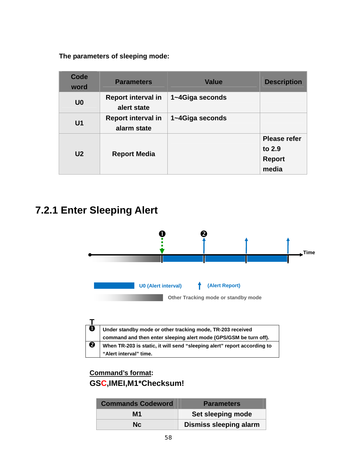**The parameters of sleeping mode:** 

| Code<br>word   | <b>Parameters</b>                        | <b>Value</b>    | <b>Description</b>                                      |
|----------------|------------------------------------------|-----------------|---------------------------------------------------------|
| U <sub>0</sub> | <b>Report interval in</b><br>alert state | 1~4Giga seconds |                                                         |
| U <sub>1</sub> | <b>Report interval in</b><br>alarm state | 1~4Giga seconds |                                                         |
| U <sub>2</sub> | <b>Report Media</b>                      |                 | <b>Please refer</b><br>to 2.9<br><b>Report</b><br>media |

# **7.2.1 Enter Sleeping Alert**



| $\mathbf{U}$ i | Under standby mode or other tracking mode, TR-203 received               |
|----------------|--------------------------------------------------------------------------|
|                | command and then enter sleeping alert mode (GPS/GSM be turn off).        |
| ❷              | When TR-203 is static, it will send "sleeping alert" report according to |
|                | "Alert interval" time.                                                   |

## **Command's format: GSC,IMEI,M1\*Checksum!**

| <b>Commands Codeword</b> | <b>Parameters</b>             |
|--------------------------|-------------------------------|
| M1                       | Set sleeping mode             |
| Nc.                      | <b>Dismiss sleeping alarm</b> |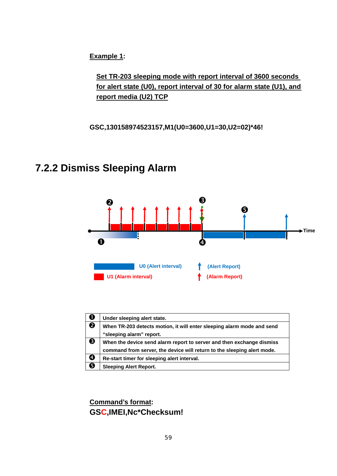**Set TR-203 sleeping mode with report interval of 3600 seconds for alert state (U0), report interval of 30 for alarm state (U1), and report media (U2) TCP**

**GSC,130158974523157,M1(U0=3600,U1=30,U2=02)\*46!** 

# **7.2.2 Dismiss Sleeping Alarm**



| $\mathbf 0$ | Under sleeping alert state.                                             |
|-------------|-------------------------------------------------------------------------|
| ❷           | When TR-203 detects motion, it will enter sleeping alarm mode and send  |
|             | "sleeping alarm" report.                                                |
| ❸           | When the device send alarm report to server and then exchange dismiss   |
|             | command from server, the device will return to the sleeping alert mode. |
| ❹           | Re-start timer for sleeping alert interval.                             |
| ❺           | <b>Sleeping Alert Report.</b>                                           |

**Command's format: GSC,IMEI,Nc\*Checksum!**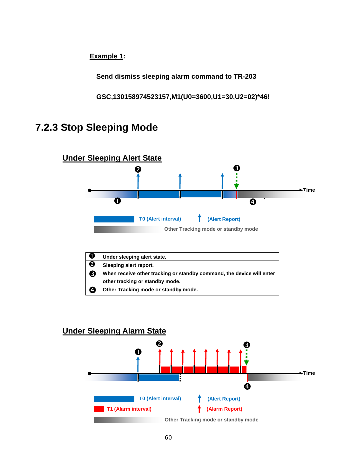**Send dismiss sleeping alarm command to TR-203**

**GSC,130158974523157,M1(U0=3600,U1=30,U2=02)\*46!**

# **7.2.3 Stop Sleeping Mode**



| O | Under sleeping alert state.                                                                              |
|---|----------------------------------------------------------------------------------------------------------|
| ❷ | Sleeping alert report.                                                                                   |
|   | When receive other tracking or standby command, the device will enter<br>other tracking or standby mode. |
| 4 | Other Tracking mode or standby mode.                                                                     |

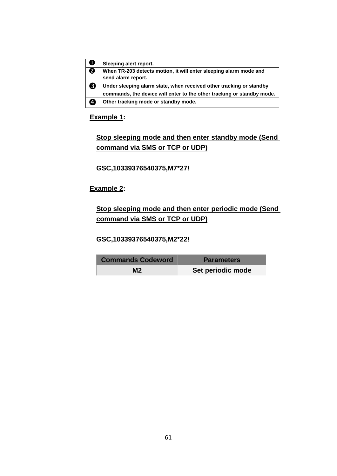| U                       | Sleeping alert report.                                                 |
|-------------------------|------------------------------------------------------------------------|
| $\overline{\mathbf{e}}$ | When TR-203 detects motion, it will enter sleeping alarm mode and      |
|                         | send alarm report.                                                     |
| 3                       | Under sleeping alarm state, when received other tracking or standby    |
|                         | commands, the device will enter to the other tracking or standby mode. |
| 4                       | Other tracking mode or standby mode.                                   |

## **Stop sleeping mode and then enter standby mode (Send command via SMS or TCP or UDP)**

**GSC,10339376540375,M7\*27!** 

### **Example 2:**

**Stop sleeping mode and then enter periodic mode (Send command via SMS or TCP or UDP)**

**GSC,10339376540375,M2\*22!** 

| <b>Commands Codeword</b> | <b>Parameters</b> |
|--------------------------|-------------------|
| M2                       | Set periodic mode |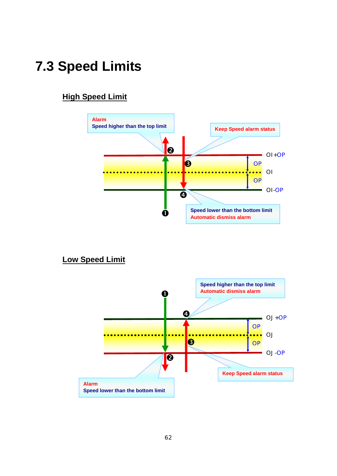# **7.3 Speed Limits**

## **High Speed Limit**



**Low Speed Limit**

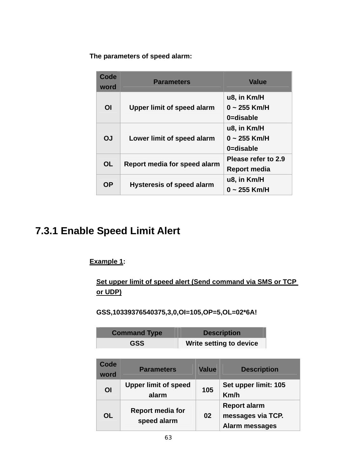**The parameters of speed alarm:** 

| Code<br>word   | <b>Parameters</b>                | <b>Value</b>                               |
|----------------|----------------------------------|--------------------------------------------|
| O <sub>l</sub> | Upper limit of speed alarm       | u8, in Km/H<br>$0 - 255$ Km/H<br>0=disable |
| <b>OJ</b>      | Lower limit of speed alarm       | u8, in Km/H<br>$0 - 255$ Km/H<br>0=disable |
| <b>OL</b>      | Report media for speed alarm     | Please refer to 2.9<br>Report media        |
| <b>OP</b>      | <b>Hysteresis of speed alarm</b> | u8, in Km/H<br>0 ~ 255 Km/H                |

# **7.3.1 Enable Speed Limit Alert**

**Example 1:** 

**Set upper limit of speed alert (Send command via SMS or TCP or UDP)**

**GSS,10339376540375,3,0,OI=105,OP=5,OL=02\*6A!** 

| <b>Command Type</b> | <b>Description</b>      |
|---------------------|-------------------------|
| <b>GSS</b>          | Write setting to device |

| Code<br>word   | <b>Parameters</b>                      | <b>Value</b> | <b>Description</b>                                         |
|----------------|----------------------------------------|--------------|------------------------------------------------------------|
| O <sub>l</sub> | <b>Upper limit of speed</b><br>alarm   | 105          | Set upper limit: 105<br>Km/h                               |
| <b>OL</b>      | <b>Report media for</b><br>speed alarm | 02           | <b>Report alarm</b><br>messages via TCP.<br>Alarm messages |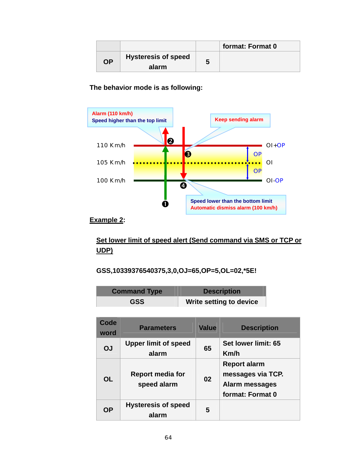|           |                                     | format: Format 0 |
|-----------|-------------------------------------|------------------|
| <b>OP</b> | <b>Hysteresis of speed</b><br>alarm |                  |

### **The behavior mode is as following:**



#### **Example 2:**

## **Set lower limit of speed alert (Send command via SMS or TCP or UDP)**

#### **GSS,10339376540375,3,0,OJ=65,OP=5,OL=02,\*5E!**

| <b>Command Type</b> | <b>Description</b>      |
|---------------------|-------------------------|
| <b>GSS</b>          | Write setting to device |

| Code<br>word | <b>Parameters</b>                      | <b>Value</b> | <b>Description</b>                                                                    |
|--------------|----------------------------------------|--------------|---------------------------------------------------------------------------------------|
| <b>OJ</b>    | <b>Upper limit of speed</b><br>alarm   | 65           | Set lower limit: 65<br>Km/h                                                           |
| <b>OL</b>    | <b>Report media for</b><br>speed alarm | 02           | <b>Report alarm</b><br>messages via TCP.<br><b>Alarm messages</b><br>format: Format 0 |
| <b>OP</b>    | <b>Hysteresis of speed</b><br>alarm    | 5            |                                                                                       |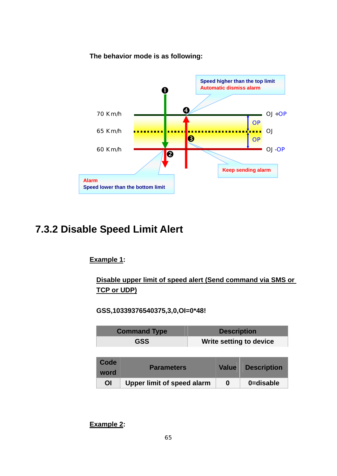**The behavior mode is as following:**



# **7.3.2 Disable Speed Limit Alert**

### **Example 1:**

**Disable upper limit of speed alert (Send command via SMS or TCP or UDP)**

**GSS,10339376540375,3,0,OI=0\*48!** 

| <b>Command Type</b> | <b>Description</b>             |
|---------------------|--------------------------------|
| <b>GSS</b>          | <b>Write setting to device</b> |

| <b>Code</b><br>word | <b>Parameters</b>          | <b>Value</b> | <b>Description</b> |
|---------------------|----------------------------|--------------|--------------------|
| OI                  | Upper limit of speed alarm | O            | 0=disable          |

**Example 2:**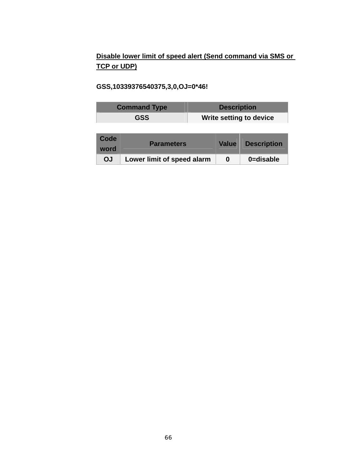## **Disable lower limit of speed alert (Send command via SMS or TCP or UDP)**

### **GSS,10339376540375,3,0,OJ=0\*46!**

|              | <b>Command Type</b> | <b>Description</b> |                                |
|--------------|---------------------|--------------------|--------------------------------|
|              | <b>GSS</b>          |                    | <b>Write setting to device</b> |
|              |                     |                    |                                |
| Code<br>word | <b>Parameters</b>   | <b>Value</b>       | <b>Description</b>             |

**OJ** Lower limit of speed alarm **0** 0=disable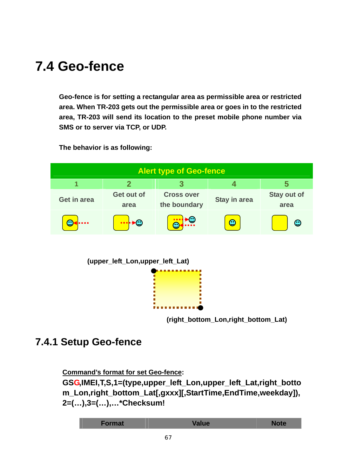# **7.4 Geo-fence**

**Geo-fence is for setting a rectangular area as permissible area or restricted area. When TR-203 gets out the permissible area or goes in to the restricted area, TR-203 will send its location to the preset mobile phone number via SMS or to server via TCP, or UDP.** 

**The behavior is as following:** 





**(right\_bottom\_Lon,right\_bottom\_Lat)**

# **7.4.1 Setup Geo-fence**

**Command's format for set Geo-fence:** 

**GSG,IMEI,T,S,1=(type,upper\_left\_Lon,upper\_left\_Lat,right\_botto m\_Lon,right\_bottom\_Lat[,gxxx][,StartTime,EndTime,weekday]), 2=(…),3=(…),…\*Checksum!** 

| Format | <b>Value</b> | Note |
|--------|--------------|------|
|        |              |      |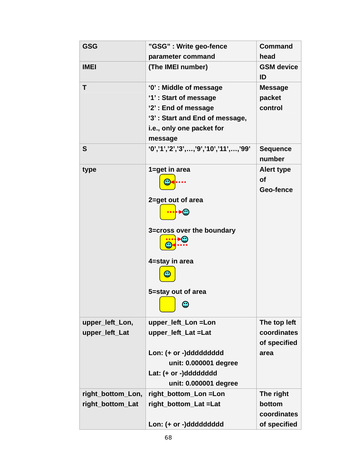| <b>GSG</b>        | "GSG" : Write geo-fence                          | <b>Command</b>              |
|-------------------|--------------------------------------------------|-----------------------------|
|                   | parameter command                                | head                        |
| <b>IMEI</b>       | (The IMEI number)                                | <b>GSM</b> device<br>ID     |
| T                 | '0': Middle of message                           | <b>Message</b>              |
|                   | '1': Start of message                            | packet                      |
|                   | '2': End of message                              | control                     |
|                   | '3': Start and End of message,                   |                             |
|                   | i.e., only one packet for                        |                             |
|                   | message                                          |                             |
| S                 | $(0', '1', '2', '3', , '9', '10', '11', , '99')$ | <b>Sequence</b><br>number   |
| type              | 1=get in area                                    | <b>Alert type</b>           |
|                   |                                                  | <b>of</b>                   |
|                   |                                                  | Geo-fence                   |
|                   | 2=get out of area                                |                             |
|                   | 3=cross over the boundary                        |                             |
|                   | 4=stay in area                                   |                             |
|                   | 5=stay out of area<br>☺                          |                             |
|                   |                                                  |                             |
| upper_left_Lon,   | upper_left_Lon =Lon<br>upper_left_Lat =Lat       | The top left<br>coordinates |
| upper_left_Lat    |                                                  | of specified                |
|                   | Lon: (+ or -)ddddddddd                           | area                        |
|                   | unit: 0.000001 degree                            |                             |
|                   | Lat: (+ or -)dddddddd                            |                             |
|                   | unit: 0.000001 degree                            |                             |
| right_bottom_Lon, | right_bottom_Lon =Lon                            | The right                   |
| right_bottom_Lat  | right_bottom_Lat =Lat                            | bottom                      |
|                   |                                                  | coordinates                 |
|                   | Lon: (+ or -)ddddddddd                           | of specified                |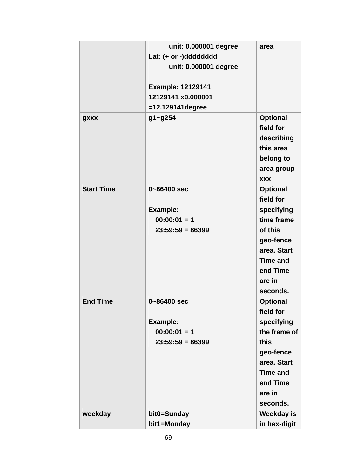|                   | unit: 0.000001 degree    | area            |
|-------------------|--------------------------|-----------------|
|                   | Lat: (+ or -)dddddddd    |                 |
|                   | unit: 0.000001 degree    |                 |
|                   |                          |                 |
|                   | <b>Example: 12129141</b> |                 |
|                   | 12129141 x0.000001       |                 |
|                   | $=12.129141$ degree      |                 |
| gxxx              | g1~g254                  | <b>Optional</b> |
|                   |                          | field for       |
|                   |                          | describing      |
|                   |                          | this area       |
|                   |                          | belong to       |
|                   |                          | area group      |
|                   |                          | <b>XXX</b>      |
| <b>Start Time</b> | 0~86400 sec              | <b>Optional</b> |
|                   |                          | field for       |
|                   | Example:                 | specifying      |
|                   | $00:00:01 = 1$           | time frame      |
|                   | $23:59:59 = 86399$       | of this         |
|                   |                          | geo-fence       |
|                   |                          | area. Start     |
|                   |                          | Time and        |
|                   |                          | end Time        |
|                   |                          | are in          |
|                   |                          | seconds.        |
| <b>End Time</b>   | 0~86400 sec              | <b>Optional</b> |
|                   |                          | field for       |
|                   | <b>Example:</b>          | specifying      |
|                   | $00:00:01 = 1$           | the frame of    |
|                   | $23:59:59 = 86399$       | this            |
|                   |                          | geo-fence       |
|                   |                          | area. Start     |
|                   |                          | <b>Time and</b> |
|                   |                          | end Time        |
|                   |                          | are in          |
|                   |                          | seconds.        |
| weekday           | bit0=Sunday              | Weekday is      |
|                   | bit1=Monday              | in hex-digit    |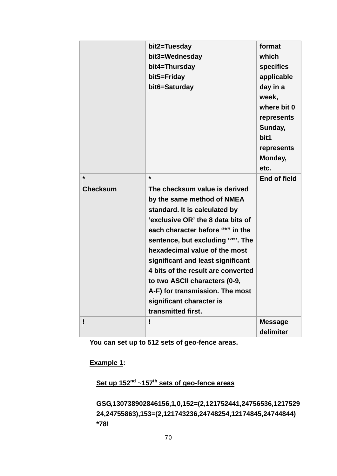|                 | bit2=Tuesday<br>bit3=Wednesday<br>bit4=Thursday | format<br>which<br><b>specifies</b> |
|-----------------|-------------------------------------------------|-------------------------------------|
|                 | bit5=Friday                                     | applicable                          |
|                 | bit6=Saturday                                   | day in a                            |
|                 |                                                 | week,                               |
|                 |                                                 | where bit 0                         |
|                 |                                                 | represents                          |
|                 |                                                 | Sunday,                             |
|                 |                                                 | bit1                                |
|                 |                                                 | represents                          |
|                 |                                                 | Monday,                             |
|                 |                                                 | etc.                                |
| $\star$         | $\star$                                         | <b>End of field</b>                 |
| <b>Checksum</b> | The checksum value is derived                   |                                     |
|                 | by the same method of NMEA                      |                                     |
|                 | standard. It is calculated by                   |                                     |
|                 | 'exclusive OR' the 8 data bits of               |                                     |
|                 | each character before "*" in the                |                                     |
|                 | sentence, but excluding "*". The                |                                     |
|                 | hexadecimal value of the most                   |                                     |
|                 | significant and least significant               |                                     |
|                 | 4 bits of the result are converted              |                                     |
|                 | to two ASCII characters (0-9,                   |                                     |
|                 | A-F) for transmission. The most                 |                                     |
|                 | significant character is                        |                                     |
|                 | transmitted first.                              |                                     |
| ī               | Ţ                                               | <b>Message</b>                      |
|                 |                                                 | delimiter                           |

**You can set up to 512 sets of geo-fence areas.** 

## **Example 1:**

# **Set up 152nd ~157th sets of geo-fence areas**

**GSG,130738902846156,1,0,152=(2,121752441,24756536,1217529 24,24755863),153=(2,121743236,24748254,12174845,24744844) \*78!**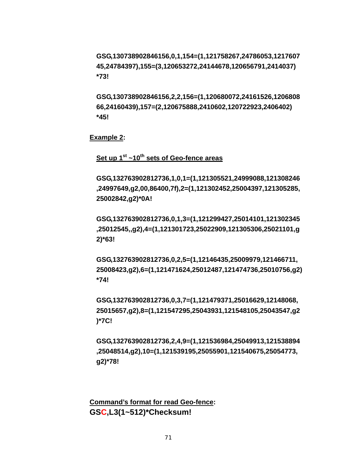**GSG,130738902846156,0,1,154=(1,121758267,24786053,1217607 45,24784397),155=(3,120653272,24144678,120656791,2414037) \*73!** 

**GSG,130738902846156,2,2,156=(1,120680072,24161526,1206808 66,24160439),157=(2,120675888,2410602,120722923,2406402) \*45!** 

**Example 2:** 

**Set up 1st ~10th sets of Geo-fence areas**

**GSG,132763902812736,1,0,1=(1,121305521,24999088,121308246 ,24997649,g2,00,86400,7f),2=(1,121302452,25004397,121305285, 25002842,g2)\*0A!** 

**GSG,132763902812736,0,1,3=(1,121299427,25014101,121302345 ,25012545,,g2),4=(1,121301723,25022909,121305306,25021101,g 2)\*63!** 

**GSG,132763902812736,0,2,5=(1,12146435,25009979,121466711, 25008423,g2),6=(1,121471624,25012487,121474736,25010756,g2) \*74!** 

**GSG,132763902812736,0,3,7=(1,121479371,25016629,12148068, 25015657,g2),8=(1,121547295,25043931,121548105,25043547,g2 )\*7C!** 

**GSG,132763902812736,2,4,9=(1,121536984,25049913,121538894 ,25048514,g2),10=(1,121539195,25055901,121540675,25054773, g2)\*78!** 

**Command's format for read Geo-fence: GSC,L3(1~512)\*Checksum!**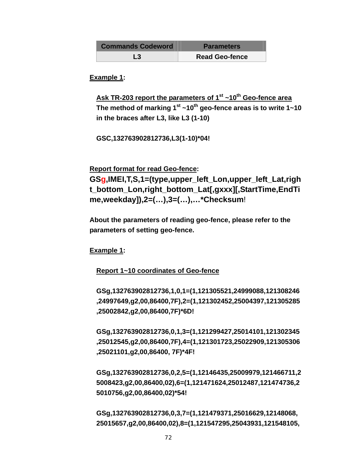| <b>Commands Codeword</b> | <b>Parameters</b>     |
|--------------------------|-----------------------|
| L3                       | <b>Read Geo-fence</b> |

**Example 1:** 

Ask TR-203 report the parameters of 1<sup>st</sup> ~10<sup>th</sup> Geo-fence area The method of marking  $1<sup>st</sup>$  ~10<sup>th</sup> geo-fence areas is to write  $1$  ~10 **in the braces after L3, like L3 (1-10)** 

**GSC,132763902812736,L3(1-10)\*04!** 

**Report format for read Geo-fence:** 

**GSg,IMEI,T,S,1=(type,upper\_left\_Lon,upper\_left\_Lat,righ t\_bottom\_Lon,right\_bottom\_Lat[,gxxx][,StartTime,EndTi me,weekday]),2=(…),3=(…),…\*Checksum**!

**About the parameters of reading geo-fence, please refer to the parameters of setting geo-fence.** 

**Example 1:** 

#### **Report 1~10 coordinates of Geo-fence**

**GSg,132763902812736,1,0,1=(1,121305521,24999088,121308246 ,24997649,g2,00,86400,7F),2=(1,121302452,25004397,121305285 ,25002842,g2,00,86400,7F)\*6D!** 

**GSg,132763902812736,0,1,3=(1,121299427,25014101,121302345 ,25012545,g2,00,86400,7F),4=(1,121301723,25022909,121305306 ,25021101,g2,00,86400, 7F)\*4F!** 

**GSg,132763902812736,0,2,5=(1,12146435,25009979,121466711,2 5008423,g2,00,86400,02),6=(1,121471624,25012487,121474736,2 5010756,g2,00,86400,02)\*54!** 

**GSg,132763902812736,0,3,7=(1,121479371,25016629,12148068, 25015657,g2,00,86400,02),8=(1,121547295,25043931,121548105,**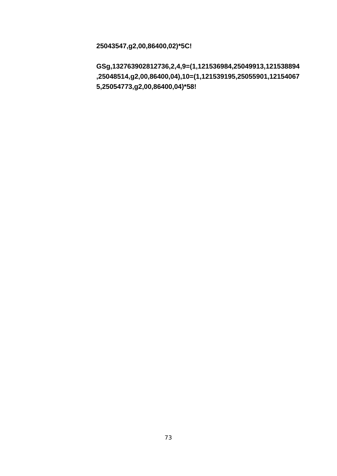**25043547,g2,00,86400,02)\*5C!** 

**GSg,132763902812736,2,4,9=(1,121536984,25049913,121538894 ,25048514,g2,00,86400,04),10=(1,121539195,25055901,12154067 5,25054773,g2,00,86400,04)\*58!**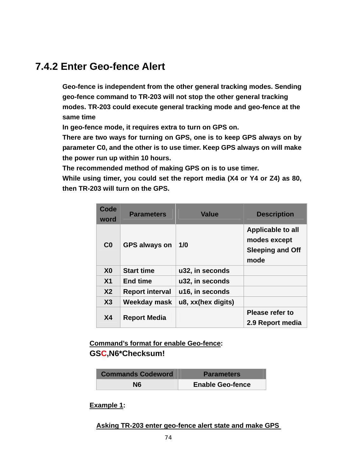### **7.4.2 Enter Geo-fence Alert**

**Geo-fence is independent from the other general tracking modes. Sending geo-fence command to TR-203 will not stop the other general tracking modes. TR-203 could execute general tracking mode and geo-fence at the same time** 

**In geo-fence mode, it requires extra to turn on GPS on.** 

**There are two ways for turning on GPS, one is to keep GPS always on by parameter C0, and the other is to use timer. Keep GPS always on will make the power run up within 10 hours.** 

**The recommended method of making GPS on is to use timer.** 

**While using timer, you could set the report media (X4 or Y4 or Z4) as 80, then TR-203 will turn on the GPS.** 

| Code<br>word   | <b>Parameters</b>      | <b>Value</b>       | <b>Description</b>                                                          |
|----------------|------------------------|--------------------|-----------------------------------------------------------------------------|
| C <sub>0</sub> | <b>GPS always on</b>   | 1/0                | <b>Applicable to all</b><br>modes except<br><b>Sleeping and Off</b><br>mode |
| X <sub>0</sub> | <b>Start time</b>      | u32, in seconds    |                                                                             |
| X <sub>1</sub> | <b>End time</b>        | u32, in seconds    |                                                                             |
| X <sub>2</sub> | <b>Report interval</b> | u16, in seconds    |                                                                             |
| X3             | Weekday mask           | u8, xx(hex digits) |                                                                             |
| <b>X4</b>      | <b>Report Media</b>    |                    | <b>Please refer to</b><br>2.9 Report media                                  |

### **Command's format for enable Geo-fence: GSC,N6\*Checksum!**

| <b>Commands Codeword</b> | <b>Parameters</b>       |
|--------------------------|-------------------------|
| N6                       | <b>Enable Geo-fence</b> |

**Example 1:** 

#### **Asking TR-203 enter geo-fence alert state and make GPS**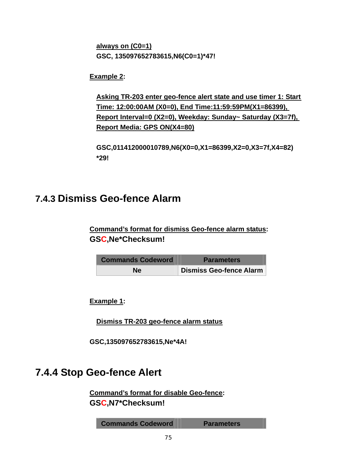**always on (C0=1) GSC, 135097652783615,N6(C0=1)\*47!** 

**Example 2:** 

**Asking TR-203 enter geo-fence alert state and use timer 1: Start Time: 12:00:00AM (X0=0), End Time:11:59:59PM(X1=86399), Report Interval=0 (X2=0), Weekday: Sunday~ Saturday (X3=7f), Report Media: GPS ON(X4=80)**

**GSC,011412000010789,N6(X0=0,X1=86399,X2=0,X3=7f,X4=82) \*29!** 

### **7.4.3 Dismiss Geo-fence Alarm**

**Command's format for dismiss Geo-fence alarm status: GSC,Ne\*Checksum!**

| <b>Commands Codeword</b> | <b>Parameters</b>       |
|--------------------------|-------------------------|
| Ne.                      | Dismiss Geo-fence Alarm |

**Example 1:** 

**Dismiss TR-203 geo-fence alarm status**

**GSC,135097652783615,Ne\*4A!** 

### **7.4.4 Stop Geo-fence Alert**

**Command's format for disable Geo-fence: GSC,N7\*Checksum!**

**Commands Codeword Parameters**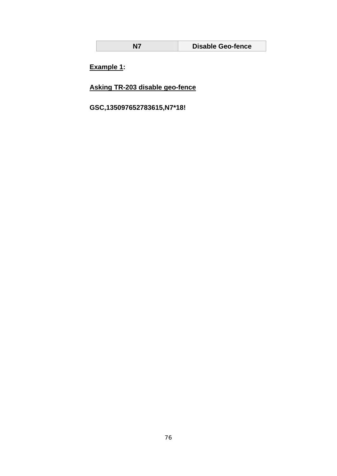| Ν7 | <b>Disable Geo-fence</b> |
|----|--------------------------|
|----|--------------------------|

**Example 1:** 

**Asking TR-203 disable geo-fence**

**GSC,135097652783615,N7\*18!**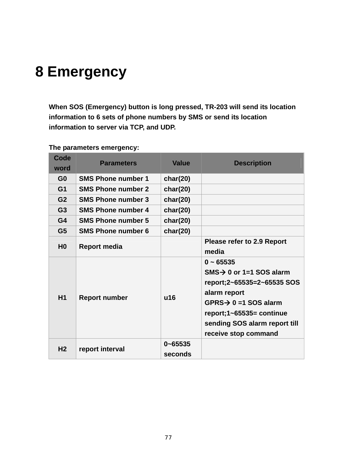# **8 Emergency**

**When SOS (Emergency) button is long pressed, TR-203 will send its location information to 6 sets of phone numbers by SMS or send its location information to server via TCP, and UDP.** 

| Code<br>word   | <b>Parameters</b>         | <b>Value</b>           | <b>Description</b>                                                                                                                                                                                                           |
|----------------|---------------------------|------------------------|------------------------------------------------------------------------------------------------------------------------------------------------------------------------------------------------------------------------------|
| G <sub>0</sub> | <b>SMS Phone number 1</b> | char(20)               |                                                                                                                                                                                                                              |
| G <sub>1</sub> | <b>SMS Phone number 2</b> | char(20)               |                                                                                                                                                                                                                              |
| G <sub>2</sub> | <b>SMS Phone number 3</b> | char(20)               |                                                                                                                                                                                                                              |
| G <sub>3</sub> | <b>SMS Phone number 4</b> | char(20)               |                                                                                                                                                                                                                              |
| G <sub>4</sub> | <b>SMS Phone number 5</b> | char(20)               |                                                                                                                                                                                                                              |
| G <sub>5</sub> | <b>SMS Phone number 6</b> | char(20)               |                                                                                                                                                                                                                              |
| H <sub>0</sub> | <b>Report media</b>       |                        | <b>Please refer to 2.9 Report</b><br>media                                                                                                                                                                                   |
| H1             | <b>Report number</b>      | u16                    | $0 - 65535$<br>$SMS \rightarrow 0$ or 1=1 SOS alarm<br>report;2~65535=2~65535 SOS<br>alarm report<br>$GPRS \rightarrow 0 = 1$ SOS alarm<br>report;1~65535= continue<br>sending SOS alarm report till<br>receive stop command |
| H <sub>2</sub> | report interval           | $0 - 65535$<br>seconds |                                                                                                                                                                                                                              |

#### **The parameters emergency:**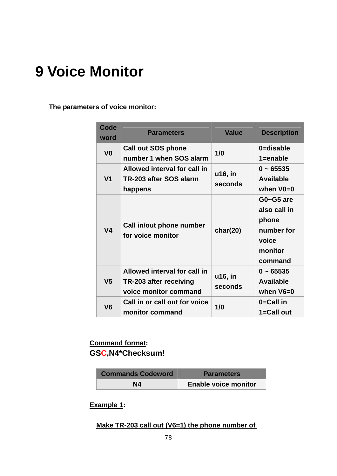## **9 Voice Monitor**

**The parameters of voice monitor:** 

| <b>Code</b><br>word | <b>Parameters</b>                                                               | <b>Value</b>       | <b>Description</b>                                                              |
|---------------------|---------------------------------------------------------------------------------|--------------------|---------------------------------------------------------------------------------|
| V <sub>0</sub>      | <b>Call out SOS phone</b><br>number 1 when SOS alarm                            | 1/0                | 0=disable<br>$1 =$ enable                                                       |
| V <sub>1</sub>      | Allowed interval for call in<br>TR-203 after SOS alarm<br>happens               | u16, in<br>seconds | $0 - 65535$<br><b>Available</b><br>when $V0=0$                                  |
| V <sub>4</sub>      | Call in/out phone number<br>for voice monitor                                   | char(20)           | G0~G5 are<br>also call in<br>phone<br>number for<br>voice<br>monitor<br>command |
| V <sub>5</sub>      | Allowed interval for call in<br>TR-203 after receiving<br>voice monitor command | u16, in<br>seconds | $0 - 65535$<br><b>Available</b><br>when $V6=0$                                  |
| V <sub>6</sub>      | Call in or call out for voice<br>monitor command                                | 1/0                | 0=Call in<br>1=Call out                                                         |

### **Command format: GSC,N4\*Checksum!**

| <b>Commands Codeword</b> | <b>Parameters</b>           |
|--------------------------|-----------------------------|
| N4                       | <b>Enable voice monitor</b> |

**Example 1:** 

#### **Make TR-203 call out (V6=1) the phone number of**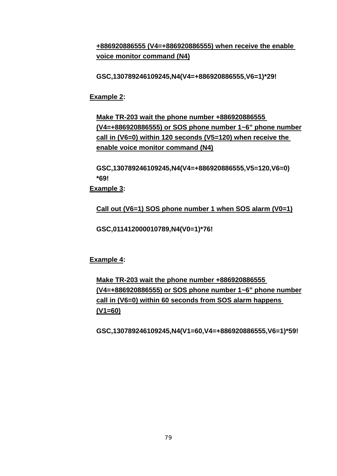**+886920886555 (V4=+886920886555) when receive the enable voice monitor command (N4)**

**GSC,130789246109245,N4(V4=+886920886555,V6=1)\*29!** 

**Example 2:** 

**Make TR-203 wait the phone number +886920886555 (V4=+886920886555) or SOS phone number 1~6" phone number call in (V6=0) within 120 seconds (V5=120) when receive the enable voice monitor command (N4)**

**GSC,130789246109245,N4(V4=+886920886555,V5=120,V6=0) \*69!** 

**Example 3:** 

**Call out (V6=1) SOS phone number 1 when SOS alarm (V0=1)**

**GSC,011412000010789,N4(V0=1)\*76!** 

**Example 4:** 

**Make TR-203 wait the phone number +886920886555 (V4=+886920886555) or SOS phone number 1~6" phone number call in (V6=0) within 60 seconds from SOS alarm happens (V1=60)**

**GSC,130789246109245,N4(V1=60,V4=+886920886555,V6=1)\*59!**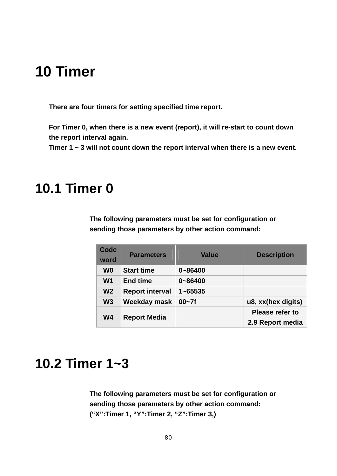## **10 Timer**

**There are four timers for setting specified time report.** 

**For Timer 0, when there is a new event (report), it will re-start to count down the report interval again.** 

**Timer 1 ~ 3 will not count down the report interval when there is a new event.** 

### **10.1 Timer 0**

**The following parameters must be set for configuration or sending those parameters by other action command:** 

| Code           | <b>Parameters</b>      | <b>Value</b> | <b>Description</b>     |
|----------------|------------------------|--------------|------------------------|
| word           |                        |              |                        |
| W <sub>0</sub> | <b>Start time</b>      | $0 - 86400$  |                        |
| W <sub>1</sub> | <b>End time</b>        | $0 - 86400$  |                        |
| W <sub>2</sub> | <b>Report interval</b> | $1 - 65535$  |                        |
| W <sub>3</sub> | Weekday mask           | $00 - 7f$    | u8, xx(hex digits)     |
| W <sub>4</sub> |                        |              | <b>Please refer to</b> |
|                | <b>Report Media</b>    |              | 2.9 Report media       |

### **10.2 Timer 1~3**

**The following parameters must be set for configuration or sending those parameters by other action command: ("X":Timer 1, "Y":Timer 2, "Z":Timer 3,)**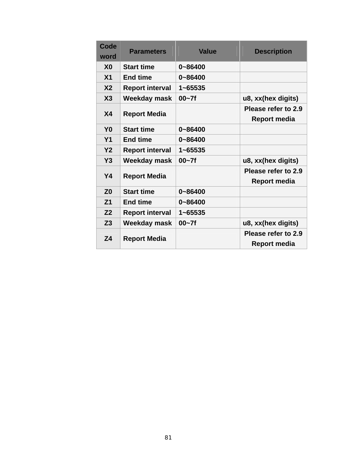| Code<br>word   | <b>Parameters</b>      | <b>Value</b> | <b>Description</b>                         |
|----------------|------------------------|--------------|--------------------------------------------|
| X <sub>0</sub> | <b>Start time</b>      | 0~86400      |                                            |
| X <sub>1</sub> | <b>End time</b>        | 0~86400      |                                            |
| X <sub>2</sub> | <b>Report interval</b> | $1 - 65535$  |                                            |
| X3             | Weekday mask           | $00 - 7f$    | u8, xx(hex digits)                         |
| <b>X4</b>      | <b>Report Media</b>    |              | Please refer to 2.9<br><b>Report media</b> |
| Y <sub>0</sub> | <b>Start time</b>      | 0~86400      |                                            |
| <b>Y1</b>      | <b>End time</b>        | 0~86400      |                                            |
| Y <sub>2</sub> | <b>Report interval</b> | $1 - 65535$  |                                            |
| Y3             | <b>Weekday mask</b>    | $00 - 7f$    | u8, xx(hex digits)                         |
| <b>Y4</b>      | <b>Report Media</b>    |              | Please refer to 2.9<br><b>Report media</b> |
| Z <sub>0</sub> | <b>Start time</b>      | $0 - 86400$  |                                            |
| Z <sub>1</sub> | <b>End time</b>        | $0 - 86400$  |                                            |
| Z <sub>2</sub> | <b>Report interval</b> | $1 - 65535$  |                                            |
| Z <sub>3</sub> | Weekday mask           | $00 - 7f$    | u8, xx(hex digits)                         |
| Z4             | <b>Report Media</b>    |              | Please refer to 2.9<br>Report media        |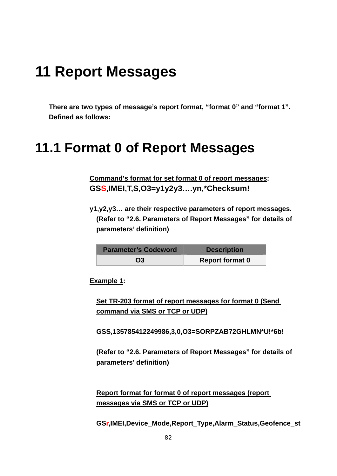## **11 Report Messages**

**There are two types of message's report format, "format 0" and "format 1". Defined as follows:** 

### **11.1 Format 0 of Report Messages**

**Command's format for set format 0 of report messages: GSS,IMEI,T,S,O3=y1y2y3….yn,\*Checksum!** 

**y1,y2,y3… are their respective parameters of report messages. (Refer to "2.6. Parameters of Report Messages" for details of parameters' definition)** 

| <b>Parameter's Codeword</b> | <b>Description</b>     |
|-----------------------------|------------------------|
| O <sub>3</sub>              | <b>Report format 0</b> |

**Example 1:** 

**Set TR-203 format of report messages for format 0 (Send command via SMS or TCP or UDP)**

**GSS,135785412249986,3,0,O3=SORPZAB72GHLMN\*U!\*6b!** 

**(Refer to "2.6. Parameters of Report Messages" for details of parameters' definition)** 

**Report format for format 0 of report messages (report messages via SMS or TCP or UDP)**

**GSr,IMEI,Device\_Mode,Report\_Type,Alarm\_Status,Geofence\_st**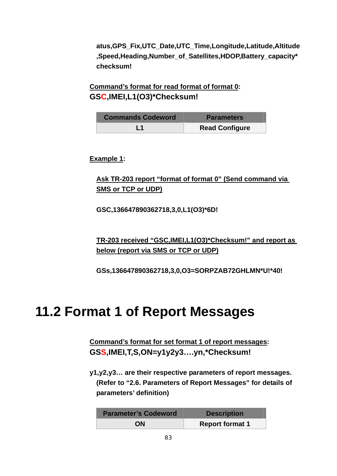**atus,GPS\_Fix,UTC\_Date,UTC\_Time,Longitude,Latitude,Altitude ,Speed,Heading,Number\_of\_Satellites,HDOP,Battery\_capacity\* checksum!** 

**Command's format for read format of format 0: GSC,IMEI,L1(O3)\*Checksum!**

| <b>Commands Codeword</b> | <b>Parameters</b>     |
|--------------------------|-----------------------|
|                          | <b>Read Configure</b> |

**Example 1:** 

**Ask TR-203 report "format of format 0" (Send command via SMS or TCP or UDP)**

**GSC,136647890362718,3,0,L1(O3)\*6D!** 

**TR-203 received "GSC,IMEI,L1(O3)\*Checksum!" and report as below (report via SMS or TCP or UDP)**

**GSs,136647890362718,3,0,O3=SORPZAB72GHLMN\*U!\*40!** 

### **11.2 Format 1 of Report Messages**

**Command's format for set format 1 of report messages: GSS,IMEI,T,S,ON=y1y2y3….yn,\*Checksum!** 

**y1,y2,y3… are their respective parameters of report messages. (Refer to "2.6. Parameters of Report Messages" for details of parameters' definition)** 

| <b>Parameter's Codeword</b> | <b>Description</b>     |
|-----------------------------|------------------------|
| <b>ON</b>                   | <b>Report format 1</b> |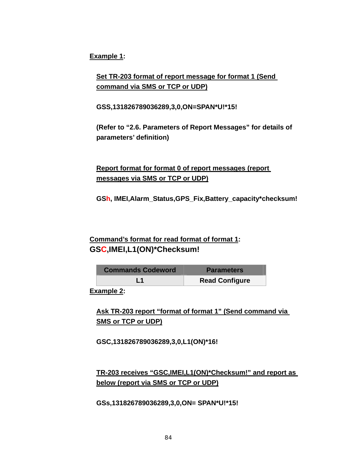**Example 1:** 

**Set TR-203 format of report message for format 1 (Send command via SMS or TCP or UDP)**

**GSS,131826789036289,3,0,ON=SPAN\*U!\*15!** 

**(Refer to "2.6. Parameters of Report Messages" for details of parameters' definition)** 

**Report format for format 0 of report messages (report messages via SMS or TCP or UDP)**

**GSh, IMEI,Alarm\_Status,GPS\_Fix,Battery\_capacity\*checksum!** 

#### **Command's format for read format of format 1: GSC,IMEI,L1(ON)\*Checksum!**

| <b>Commands Codeword</b> | <b>Parameters</b>     |
|--------------------------|-----------------------|
| l 1                      | <b>Read Configure</b> |

**Example 2:** 

**Ask TR-203 report "format of format 1" (Send command via SMS or TCP or UDP)**

**GSC,131826789036289,3,0,L1(ON)\*16!** 

#### **TR-203 receives "GSC,IMEI,L1(ON)\*Checksum!" and report as below (report via SMS or TCP or UDP)**

**GSs,131826789036289,3,0,ON= SPAN\*U!\*15!**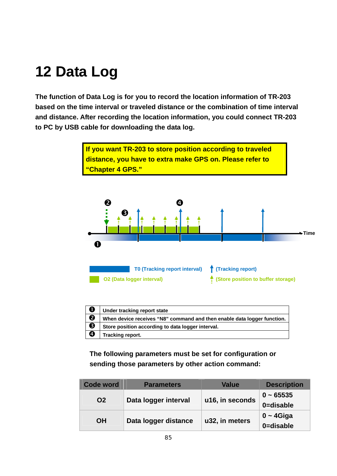# **12 Data Log**

**The function of Data Log is for you to record the location information of TR-203 based on the time interval or traveled distance or the combination of time interval and distance. After recording the location information, you could connect TR-203 to PC by USB cable for downloading the data log.** 

> **If you want TR-203 to store position according to traveled distance, you have to extra make GPS on. Please refer to "Chapter 4 GPS."**



| $\mathbf 0$           | Under tracking report state                                             |
|-----------------------|-------------------------------------------------------------------------|
| $\boldsymbol{\Theta}$ | When device receives "N8" command and then enable data logger function. |
| ❸                     | Store position according to data logger interval.                       |
| $\boldsymbol{\Theta}$ | Tracking report.                                                        |

**The following parameters must be set for configuration or sending those parameters by other action command:** 

| Code word | <b>Parameters</b>    | Value           | <b>Description</b> |
|-----------|----------------------|-----------------|--------------------|
|           | Data logger interval |                 | $0 - 65535$        |
| <b>O2</b> |                      | u16, in seconds | 0=disable          |
| <b>OH</b> |                      | u32, in meters  | $0 - 4$ Giga       |
|           | Data logger distance |                 | 0=disable          |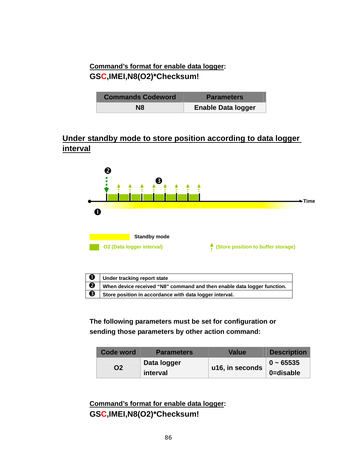### **Command's format for enable data logger: GSC,IMEI,N8(O2)\*Checksum!**

| <b>Commands Codeword</b> | <b>Parameters</b>         |
|--------------------------|---------------------------|
| N8                       | <b>Enable Data logger</b> |

### **Under standby mode to store position according to data logger interval**



| ' O | Under tracking report state                                             |
|-----|-------------------------------------------------------------------------|
| Ø   | When device received "N8" command and then enable data logger function. |
| β ∌ | Store position in accordance with data logger interval.                 |

**The following parameters must be set for configuration or sending those parameters by other action command:** 

| Code word | <b>Parameters</b> | <b>Value</b>    | <b>Description</b> |
|-----------|-------------------|-----------------|--------------------|
| Ο2        | Data logger       |                 | $0 - 65535$        |
|           | interval          | u16, in seconds | 0=disable          |

**Command's format for enable data logger: GSC,IMEI,N8(O2)\*Checksum!**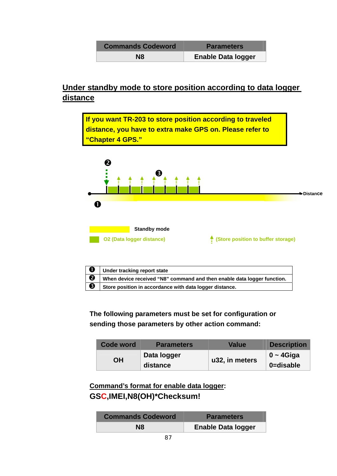| <b>Commands Codeword</b> | <b>Parameters</b>         |
|--------------------------|---------------------------|
| N8                       | <b>Enable Data logger</b> |

### **Under standby mode to store position according to data logger distance**



| $\bullet$ | Under tracking report state                                             |
|-----------|-------------------------------------------------------------------------|
| ❷         | When device received "N8" command and then enable data logger function. |
| €         | Store position in accordance with data logger distance.                 |

**The following parameters must be set for configuration or sending those parameters by other action command:** 

| <b>Code word</b> | <b>Parameters</b> | Value          | <b>Description</b> |
|------------------|-------------------|----------------|--------------------|
| ΟH               | Data logger       |                | $0 - 4$ Giga       |
|                  | distance          | u32, in meters | 0=disable          |

**Command's format for enable data logger: GSC,IMEI,N8(OH)\*Checksum!**

| <b>Commands Codeword</b> | <b>Parameters</b>         |
|--------------------------|---------------------------|
| N8                       | <b>Enable Data logger</b> |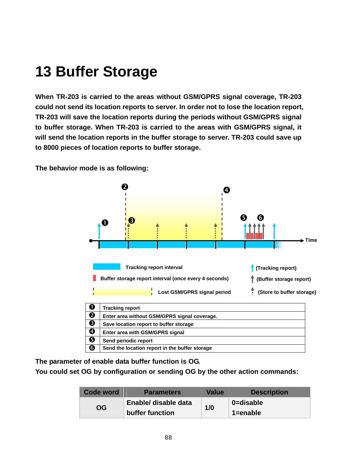## **13 Buffer Storage**

**When TR-203 is carried to the areas without GSM/GPRS signal coverage, TR-203 could not send its location reports to server. In order not to lose the location report, TR-203 will save the location reports during the periods without GSM/GPRS signal to buffer storage. When TR-203 is carried to the areas with GSM/GPRS signal, it will send the location reports in the buffer storage to server. TR-203 could save up to 8000 pieces of location reports to buffer storage.** 



**The behavior mode is as following:** 

**The parameter of enable data buffer function is OG.** 

**You could set OG by configuration or sending OG by the other action commands:** 

| Code word | <b>Parameters</b>    | <b>Value</b> | <b>Description</b> |
|-----------|----------------------|--------------|--------------------|
| <b>OG</b> | Enable/ disable data | 1/0          | 0=disable          |
|           | buffer function      |              | $1 =$ enable       |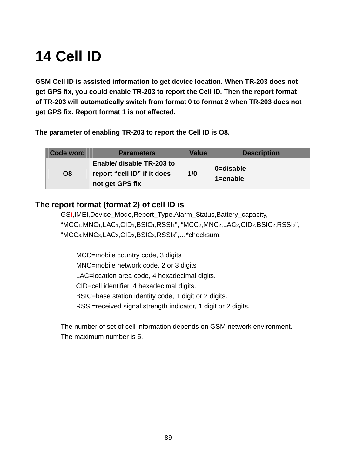# **14 Cell ID**

**GSM Cell ID is assisted information to get device location. When TR-203 does not get GPS fix, you could enable TR-203 to report the Cell ID. Then the report format of TR-203 will automatically switch from format 0 to format 2 when TR-203 does not get GPS fix. Report format 1 is not affected.**

**The parameter of enabling TR-203 to report the Cell ID is O8.** 

| Code word      | <b>Parameters</b>                                                           | <b>Value</b> | <b>Description</b>        |
|----------------|-----------------------------------------------------------------------------|--------------|---------------------------|
| O <sub>8</sub> | Enable/ disable TR-203 to<br>report "cell ID" if it does<br>not get GPS fix | 1/0          | 0=disable<br>$1 =$ enable |

### **The report format (format 2) of cell ID is**

GS**i**,IMEI,Device\_Mode,Report\_Type,Alarm\_Status,Battery\_capacity, "MCC1,MNC1,LAC1,CID1,BSIC1,RSSI1", "MCC2,MNC2,LAC2,CID2,BSIC2,RSSI2", "MCC3,MNC3,LAC3,CID3,BSIC3,RSSI3",…\*checksum!

MCC=mobile country code, 3 digits MNC=mobile network code, 2 or 3 digits LAC=location area code, 4 hexadecimal digits. CID=cell identifier, 4 hexadecimal digits. BSIC=base station identity code, 1 digit or 2 digits. RSSI=received signal strength indicator, 1 digit or 2 digits.

The number of set of cell information depends on GSM network environment. The maximum number is 5.